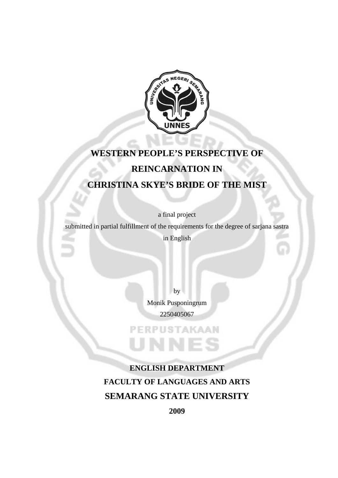

## **WESTERN PEOPLE'S PERSPECTIVE OF REINCARNATION IN CHRISTINA SKYE'S BRIDE OF THE MIST**

a final project

submitted in partial fulfillment of the requirements for the degree of sarjana sastra

in English

by Monik Pusponingrum 2250405067

**PERPUSTAKAAN** 

UNN

**ENGLISH DEPARTMENT FACULTY OF LANGUAGES AND ARTS SEMARANG STATE UNIVERSITY** 

**2009**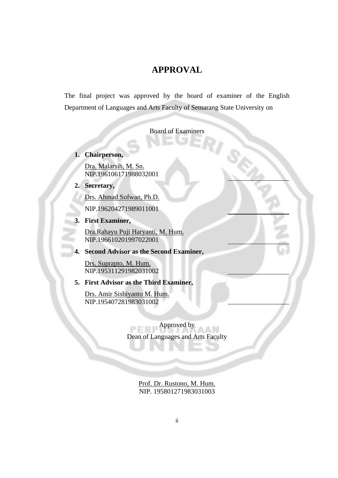#### **APPROVAL**

The final project was approved by the board of examiner of the English Department of Languages and Arts Faculty of Semarang State University on

Board of Examiners

**1. Chairperson,** 

Dra. Malarsih, M. Sn. NIP.196106171988032001

**2. Secretary,** 

Drs. Ahmad Sofwan, Ph.D.

NIP.196204271989011001

**3. First Examiner,**

Dra.Rahayu Puji Haryanti, M. Hum. NIP.196610201997022001

**4. Second Advisor as the Second Examiner,**

Drs. Suprapto, M. Hum. NIP.195311291982031002

**5. First Advisor as the Third Examiner,**

Drs. Amir Sisbiyanto M. Hum. NIP.195407281983031002

> Approved by PEI Dean of Languages and Arts Faculty

> > Prof. Dr. Rustono, M. Hum. NIP. 195801271983031003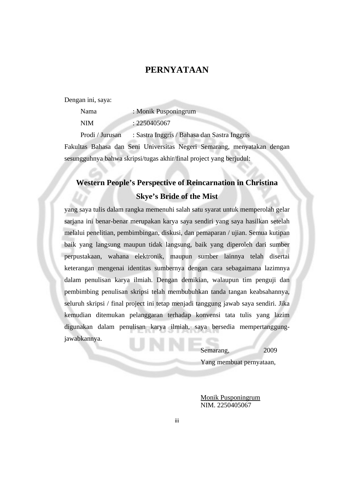#### **PERNYATAAN**

Dengan ini, saya:

| Nama            | : Monik Pusponingrum                         |
|-----------------|----------------------------------------------|
| <b>NIM</b>      | : 2250405067                                 |
| Prodi / Jurusan | : Sastra Inggris / Bahasa dan Sastra Inggris |

Fakultas Bahasa dan Seni Universitas Negeri Semarang, menyatakan dengan sesungguhnya bahwa skripsi/tugas akhir/final project yang berjudul:

## **Western People's Perspective of Reincarnation in Christina Skye's Bride of the Mist**

yang saya tulis dalam rangka memenuhi salah satu syarat untuk memperolah gelar sarjana ini benar-benar merupakan karya saya sendiri yang saya hasilkan setelah melalui penelitian, pembimbingan, diskusi, dan pemaparan / ujian. Semua kutipan baik yang langsung maupun tidak langsung, baik yang diperoleh dari sumber perpustakaan, wahana elektronik, maupun sumber lainnya telah disertai keterangan mengenai identitas sumbernya dengan cara sebagaimana lazimnya dalam penulisan karya ilmiah. Dengan demikian, walaupun tim penguji dan pembimbing penulisan skripsi telah membubuhkan tanda tangan keabsahannya, seluruh skripsi / final project ini tetap menjadi tanggung jawab saya sendiri. Jika kemudian ditemukan pelanggaran terhadap konvensi tata tulis yang lazim digunakan dalam penulisan karya ilmiah, saya bersedia mempertanggungjawabkannya.

Semarang, 2009

Yang membuat pernyataan,

Monik Pusponingrum NIM. 2250405067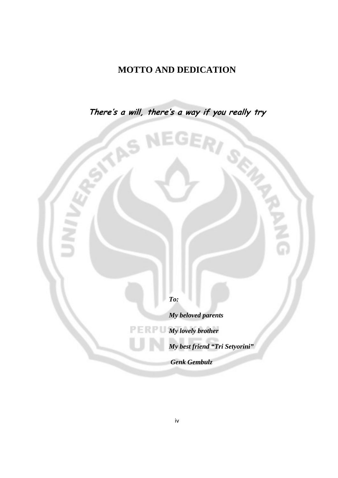## **MOTTO AND DEDICATION**

**There's a will, there's a way if you really try** 

s

**ES** 

*To:* 

*My beloved parents* 

*My lovely brother* 

*My best friend "Tri Setyorini"* 

 *Genk Gembulz*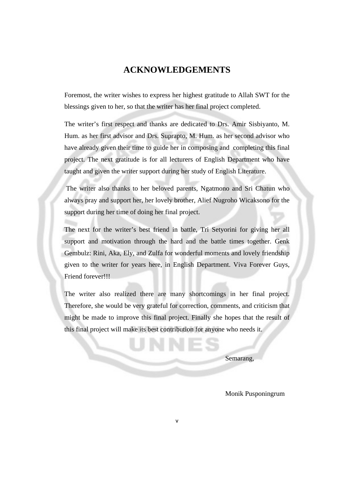#### **ACKNOWLEDGEMENTS**

Foremost, the writer wishes to express her highest gratitude to Allah SWT for the blessings given to her, so that the writer has her final project completed.

The writer's first respect and thanks are dedicated to Drs. Amir Sisbiyanto, M. Hum. as her first advisor and Drs. Suprapto, M. Hum. as her second advisor who have already given their time to guide her in composing and completing this final project. The next gratitude is for all lecturers of English Department who have taught and given the writer support during her study of English Literature.

 The writer also thanks to her beloved parents, Ngatmono and Sri Chatun who always pray and support her, her lovely brother, Alief Nugroho Wicaksono for the support during her time of doing her final project.

The next for the writer's best friend in battle, Tri Setyorini for giving her all support and motivation through the hard and the battle times together. Genk Gembulz: Rini, Aka, Ely, and Zulfa for wonderful moments and lovely friendship given to the writer for years here, in English Department. Viva Forever Guys, Friend forever!!!

The writer also realized there are many shortcomings in her final project. Therefore, she would be very grateful for correction, comments, and criticism that might be made to improve this final project. Finally she hopes that the result of this final project will make its best contribution for anyone who needs it.

Semarang,

Monik Pusponingrum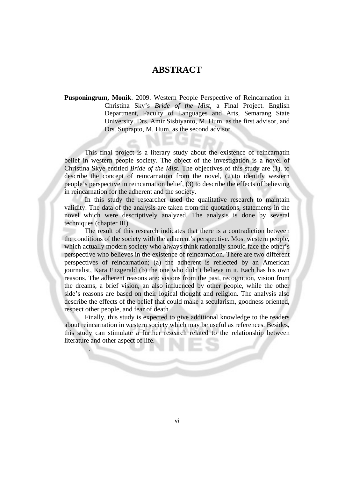#### **ABSTRACT**

**Pusponingrum, Monik**. 2009. Western People Perspective of Reincarnation in Christina Sky's *Bride of the Mist*, a Final Project. English Department, Faculty of Languages and Arts, Semarang State University. Drs. Amir Sisbiyanto, M. Hum. as the first advisor, and Drs. Suprapto, M. Hum. as the second advisor.

This final project is a literary study about the existence of reincarnatin belief in western people society. The object of the investigation is a novel of Christina Skye entitled *Bride of the Mist*. The objectives of this study are (1). to describe the concept of reincarnation from the novel, (2).to identify western people's perspective in reincarnation belief, (3) to describe the effects of believing in reincarnation for the adherent and the society.

In this study the researcher used the qualitative research to maintain validity. The data of the analysis are taken from the quotations, statements in the novel which were descriptively analyzed. The analysis is done by several techniques (chapter III).

The result of this research indicates that there is a contradiction between the conditions of the society with the adherent's perspective. Most western people, which actually modern society who always think rationally should face the other's perspective who believes in the existence of reincarnation. There are two different perspectives of reincarnation; (a) the adherent is reflected by an American journalist, Kara Fitzgerald (b) the one who didn't believe in it. Each has his own reasons. The adherent reasons are: visions from the past, recognition, vision from the dreams, a brief vision, an also influenced by other people, while the other side's reasons are based on their logical thought and religion. The analysis also describe the effects of the belief that could make a secularism, goodness oriented, respect other people, and fear of death

Finally, this study is expected to give additional knowledge to the readers about reincarnation in western society which may be useful as references. Besides, this study can stimulate a further research related to the relationship between literature and other aspect of life.

.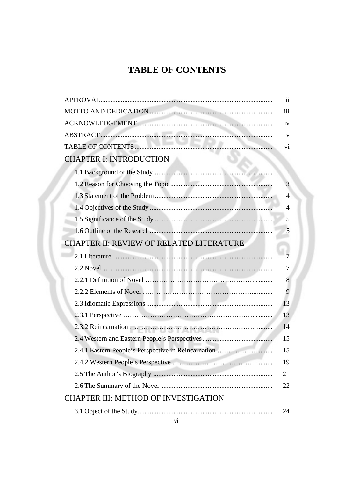## **TABLE OF CONTENTS**

|                                                     | $\mathbf{ii}$  |
|-----------------------------------------------------|----------------|
|                                                     | iii            |
|                                                     | iv             |
|                                                     | $\mathbf{V}$   |
|                                                     | vi             |
| <b>CHAPTER I: INTRODUCTION</b>                      |                |
|                                                     | $\overline{1}$ |
|                                                     | 3              |
|                                                     | $\overline{4}$ |
|                                                     | $\overline{4}$ |
|                                                     | 5              |
|                                                     | 5              |
| <b>CHAPTER II: REVIEW OF RELATED LITERATURE</b>     |                |
|                                                     | $\overline{7}$ |
|                                                     | 7              |
|                                                     | 8              |
|                                                     | 9              |
|                                                     | 13             |
|                                                     | 13             |
|                                                     | 14             |
|                                                     | 15             |
| 2.4.1 Eastern People's Perspective in Reincarnation | 15             |
|                                                     | 19             |
|                                                     | 21             |
|                                                     | 22             |
| <b>CHAPTER III: METHOD OF INVESTIGATION</b>         |                |
|                                                     | 24             |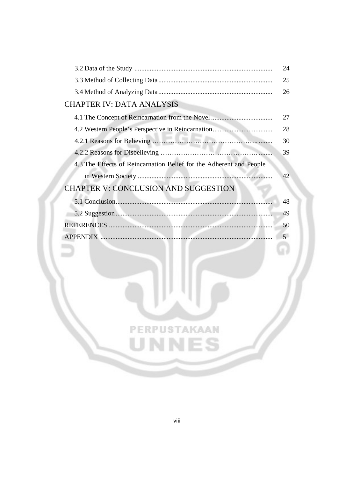|                                                                     | 24 |
|---------------------------------------------------------------------|----|
|                                                                     | 25 |
|                                                                     | 26 |
| <b>CHAPTER IV: DATA ANALYSIS</b>                                    |    |
|                                                                     | 27 |
|                                                                     | 28 |
|                                                                     | 30 |
|                                                                     | 39 |
| 4.3 The Effects of Reincarnation Belief for the Adherent and People |    |
|                                                                     | 42 |
| <b>CHAPTER V: CONCLUSION AND SUGGESTION</b>                         |    |



**PERPUSTAKAAN** 

UNNES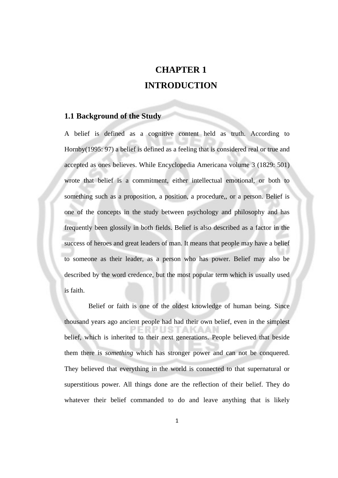## **CHAPTER 1 INTRODUCTION**

#### **1.1 Background of the Study**

A belief is defined as a cognitive content held as truth. According to Hornby(1995: 97) a belief is defined as a feeling that is considered real or true and accepted as ones believes. While Encyclopedia Americana volume 3 (1829: 501) wrote that belief is a commitment, either intellectual emotional, or both to something such as a proposition, a position, a procedure,, or a person. Belief is one of the concepts in the study between psychology and philosophy and has frequently been glossily in both fields. Belief is also described as a factor in the success of heroes and great leaders of man. It means that people may have a belief to someone as their leader, as a person who has power. Belief may also be described by the word credence, but the most popular term which is usually used is faith.

Belief or faith is one of the oldest knowledge of human being. Since thousand years ago ancient people had had their own belief, even in the simplest belief, which is inherited to their next generations. People believed that beside them there is *something* which has stronger power and can not be conquered. They believed that everything in the world is connected to that supernatural or superstitious power. All things done are the reflection of their belief. They do whatever their belief commanded to do and leave anything that is likely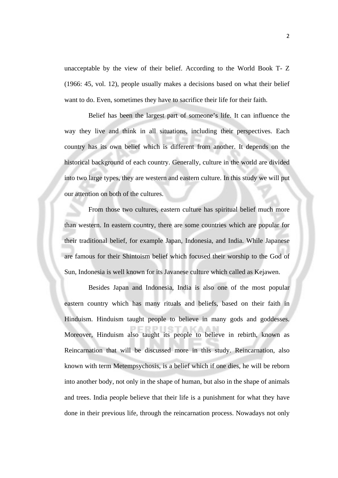unacceptable by the view of their belief. According to the World Book T- Z (1966: 45, vol. 12), people usually makes a decisions based on what their belief want to do. Even, sometimes they have to sacrifice their life for their faith.

Belief has been the largest part of someone's life. It can influence the way they live and think in all situations, including their perspectives. Each country has its own belief which is different from another. It depends on the historical background of each country. Generally, culture in the world are divided into two large types, they are western and eastern culture. In this study we will put our attention on both of the cultures.

From those two cultures, eastern culture has spiritual belief much more than western. In eastern country, there are some countries which are popular for their traditional belief, for example Japan, Indonesia, and India. While Japanese are famous for their Shintoism belief which focused their worship to the God of Sun, Indonesia is well known for its Javanese culture which called as Kejawen.

Besides Japan and Indonesia, India is also one of the most popular eastern country which has many rituals and beliefs, based on their faith in Hinduism. Hinduism taught people to believe in many gods and goddesses. Moreover, Hinduism also taught its people to believe in rebirth, known as Reincarnation that will be discussed more in this study. Reincarnation, also known with term Metempsychosis, is a belief which if one dies, he will be reborn into another body, not only in the shape of human, but also in the shape of animals and trees. India people believe that their life is a punishment for what they have done in their previous life, through the reincarnation process. Nowadays not only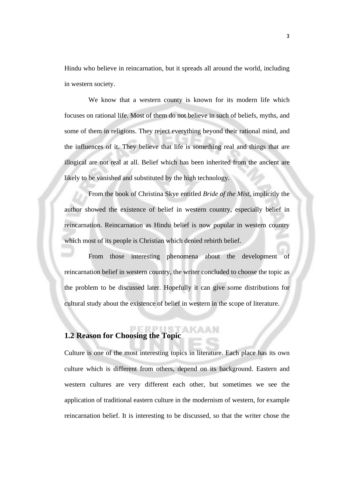Hindu who believe in reincarnation, but it spreads all around the world, including in western society.

We know that a western county is known for its modern life which focuses on rational life. Most of them do not believe in such of beliefs, myths, and some of them in religions. They reject everything beyond their rational mind, and the influences of it. They believe that life is something real and things that are illogical are not real at all. Belief which has been inherited from the ancient are likely to be vanished and substituted by the high technology.

From the book of Christina Skye entitled *Bride of the Mist*, implicitly the author showed the existence of belief in western country, especially belief in reincarnation. Reincarnation as Hindu belief is now popular in western country which most of its people is Christian which denied rebirth belief.

From those interesting phenomena about the development of reincarnation belief in western country, the writer concluded to choose the topic as the problem to be discussed later. Hopefully it can give some distributions for cultural study about the existence of belief in western in the scope of literature.

#### **1.2 Reason for Choosing the Topic**

Culture is one of the most interesting topics in literature. Each place has its own culture which is different from others, depend on its background. Eastern and western cultures are very different each other, but sometimes we see the application of traditional eastern culture in the modernism of western, for example reincarnation belief. It is interesting to be discussed, so that the writer chose the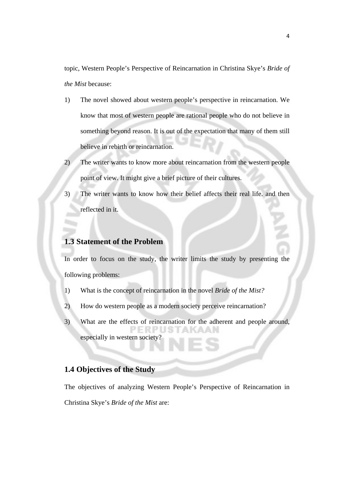topic, Western People's Perspective of Reincarnation in Christina Skye's *Bride of the Mist* because:

- 1) The novel showed about western people's perspective in reincarnation. We know that most of western people are rational people who do not believe in something beyond reason. It is out of the expectation that many of them still believe in rebirth or reincarnation.
- 2) The writer wants to know more about reincarnation from the western people point of view. It might give a brief picture of their cultures.
- 3) The writer wants to know how their belief affects their real life. and then reflected in it.

#### **1.3 Statement of the Problem**

In order to focus on the study, the writer limits the study by presenting the following problems:

- 1) What is the concept of reincarnation in the novel *Bride of the Mist?*
- 2) How do western people as a modern society perceive reincarnation?
- 3) What are the effects of reincarnation for the adherent and people around, especially in western society?

#### **1.4 Objectives of the Study**

The objectives of analyzing Western People's Perspective of Reincarnation in Christina Skye's *Bride of the Mist* are: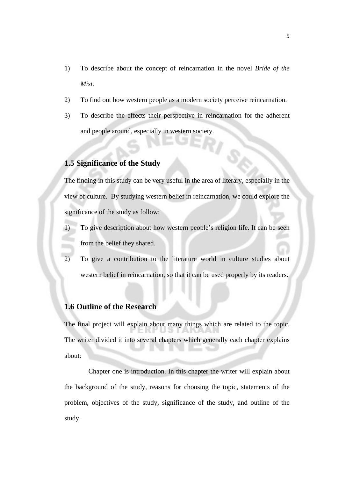- 1) To describe about the concept of reincarnation in the novel *Bride of the Mist.*
- 2) To find out how western people as a modern society perceive reincarnation.
- 3) To describe the effects their perspective in reincarnation for the adherent and people around, especially in western society.

#### **1.5 Significance of the Study**

The finding in this study can be very useful in the area of literary, especially in the view of culture. By studying western belief in reincarnation, we could explore the significance of the study as follow:

- 1) To give description about how western people's religion life. It can be seen from the belief they shared.
- 2) To give a contribution to the literature world in culture studies about western belief in reincarnation, so that it can be used properly by its readers.

#### **1.6 Outline of the Research**

The final project will explain about many things which are related to the topic. The writer divided it into several chapters which generally each chapter explains about:

Chapter one is introduction. In this chapter the writer will explain about the background of the study, reasons for choosing the topic, statements of the problem, objectives of the study, significance of the study, and outline of the study.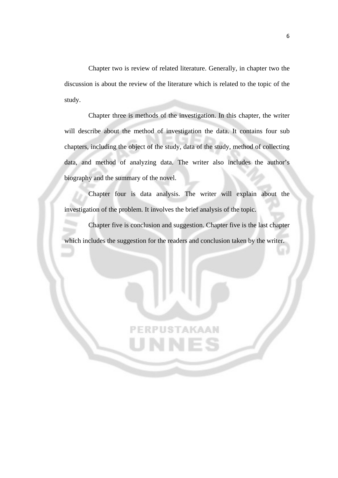Chapter two is review of related literature. Generally, in chapter two the discussion is about the review of the literature which is related to the topic of the study.

Chapter three is methods of the investigation. In this chapter, the writer will describe about the method of investigation the data. It contains four sub chapters, including the object of the study, data of the study, method of collecting data, and method of analyzing data. The writer also includes the author's biography and the summary of the novel.

Chapter four is data analysis. The writer will explain about the investigation of the problem. It involves the brief analysis of the topic.

Chapter five is conclusion and suggestion. Chapter five is the last chapter which includes the suggestion for the readers and conclusion taken by the writer.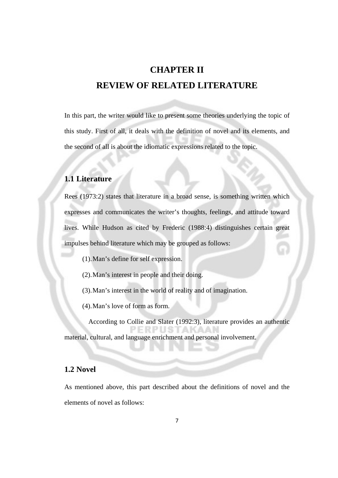## **CHAPTER II REVIEW OF RELATED LITERATURE**

In this part, the writer would like to present some theories underlying the topic of this study. First of all, it deals with the definition of novel and its elements, and the second of all is about the idiomatic expressions related to the topic.

#### **1.1 Literature**

Rees (1973:2) states that literature in a broad sense, is something written which expresses and communicates the writer's thoughts, feelings, and attitude toward lives. While Hudson as cited by Frederic (1988:4) distinguishes certain great impulses behind literature which may be grouped as follows:

(1).Man's define for self expression.

(2).Man's interest in people and their doing.

(3).Man's interest in the world of reality and of imagination.

(4).Man's love of form as form.

According to Collie and Slater (1992:3), literature provides an authentic material, cultural, and language enrichment and personal involvement.

#### **1.2 Novel**

As mentioned above, this part described about the definitions of novel and the elements of novel as follows: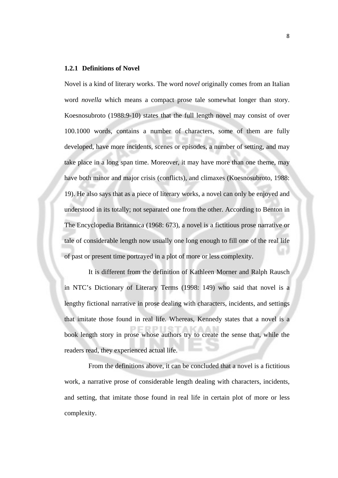#### **1.2.1 Definitions of Novel**

Novel is a kind of literary works. The word *novel* originally comes from an Italian word *novella* which means a compact prose tale somewhat longer than story. Koesnosubroto (1988:9-10) states that the full length novel may consist of over 100.1000 words, contains a number of characters, some of them are fully developed, have more incidents, scenes or episodes, a number of setting, and may take place in a long span time. Moreover, it may have more than one theme, may have both minor and major crisis (conflicts), and climaxes (Koesnosubroto, 1988: 19). He also says that as a piece of literary works, a novel can only be enjoyed and understood in its totally; not separated one from the other. According to Benton in The Encyclopedia Britannica (1968: 673), a novel is a fictitious prose narrative or tale of considerable length now usually one long enough to fill one of the real life of past or present time portrayed in a plot of more or less complexity.

It is different from the definition of Kathleen Morner and Ralph Rausch in NTC's Dictionary of Literary Terms (1998: 149) who said that novel is a lengthy fictional narrative in prose dealing with characters, incidents, and settings that imitate those found in real life. Whereas, Kennedy states that a novel is a book length story in prose whose authors try to create the sense that, while the readers read, they experienced actual life.

From the definitions above, it can be concluded that a novel is a fictitious work, a narrative prose of considerable length dealing with characters, incidents, and setting, that imitate those found in real life in certain plot of more or less complexity.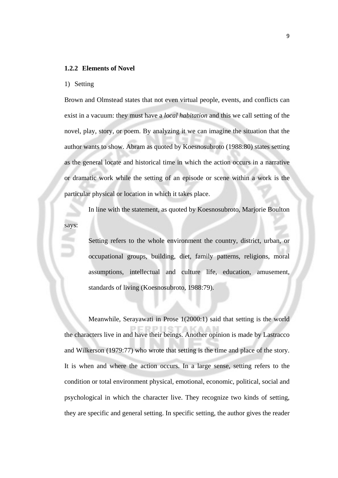#### **1.2.2 Elements of Novel**

#### 1) Setting

Brown and Olmstead states that not even virtual people, events, and conflicts can exist in a vacuum: they must have a *local habitation* and this we call setting of the novel, play, story, or poem. By analyzing it we can imagine the situation that the author wants to show. Abram as quoted by Koesnosubroto (1988:80) states setting as the general locate and historical time in which the action occurs in a narrative or dramatic work while the setting of an episode or scene within a work is the particular physical or location in which it takes place.

In line with the statement, as quoted by Koesnosubroto, Marjorie Boulton says:

> Setting refers to the whole environment the country, district, urban, or occupational groups, building, diet, family patterns, religions, moral assumptions, intellectual and culture life, education, amusement, standards of living (Koesnosubroto, 1988:79).

Meanwhile, Serayawati in Prose 1(2000:1) said that setting is the world the characters live in and have their beings. Another opinion is made by Lastracco and Wilkerson (1979:77) who wrote that setting is the time and place of the story. It is when and where the action occurs. In a large sense, setting refers to the condition or total environment physical, emotional, economic, political, social and psychological in which the character live. They recognize two kinds of setting, they are specific and general setting. In specific setting, the author gives the reader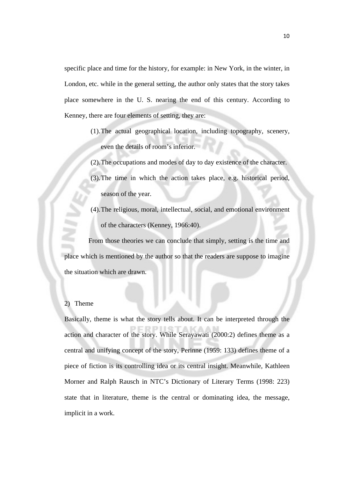specific place and time for the history, for example: in New York, in the winter, in London, etc. while in the general setting, the author only states that the story takes place somewhere in the U. S. nearing the end of this century. According to Kenney, there are four elements of setting, they are:

- (1).The actual geographical location, including topography, scenery, even the details of room's inferior.
- (2).The occupations and modes of day to day existence of the character.
- (3).The time in which the action takes place, e.g. historical period, season of the year.
- (4).The religious, moral, intellectual, social, and emotional environment of the characters (Kenney, 1966:40).

From those theories we can conclude that simply, setting is the time and place which is mentioned by the author so that the readers are suppose to imagine the situation which are drawn.

#### 2) Theme

Basically, theme is what the story tells about. It can be interpreted through the action and character of the story. While Serayawati (2000:2) defines theme as a central and unifying concept of the story, Perinne (1959: 133) defines theme of a piece of fiction is its controlling idea or its central insight. Meanwhile, Kathleen Morner and Ralph Rausch in NTC's Dictionary of Literary Terms (1998: 223) state that in literature, theme is the central or dominating idea, the message, implicit in a work.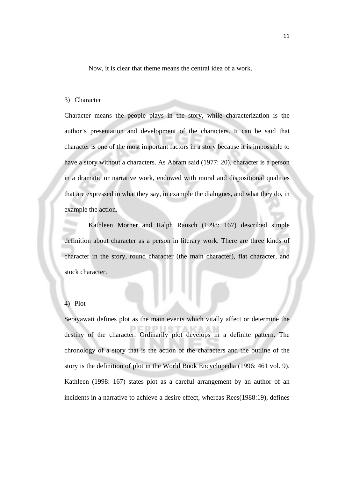Now, it is clear that theme means the central idea of a work.

#### 3) Character

Character means the people plays in the story, while characterization is the author's presentation and development of the characters. It can be said that character is one of the most important factors in a story because it is impossible to have a story without a characters. As Abram said (1977: 20), character is a person in a dramatic or narrative work, endowed with moral and dispositional qualities that are expressed in what they say, in example the dialogues, and what they do, in example the action.

Kathleen Morner and Ralph Rausch (1998: 167) described simple definition about character as a person in literary work. There are three kinds of character in the story, round character (the main character), flat character, and stock character.

#### 4) Plot

Serayawati defines plot as the main events which vitally affect or determine the destiny of the character. Ordinarily plot develops in a definite pattern. The chronology of a story that is the action of the characters and the outline of the story is the definition of plot in the World Book Encyclopedia (1996: 461 vol. 9). Kathleen (1998: 167) states plot as a careful arrangement by an author of an incidents in a narrative to achieve a desire effect, whereas Rees(1988:19), defines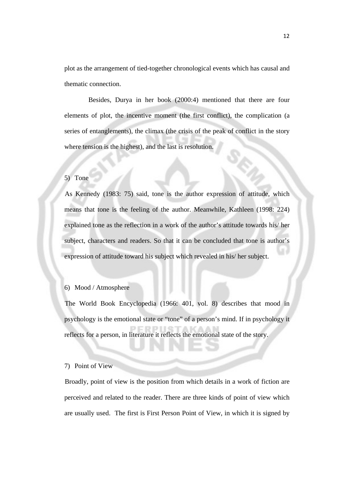plot as the arrangement of tied-together chronological events which has causal and thematic connection.

Besides, Durya in her book (2000:4) mentioned that there are four elements of plot, the incentive moment (the first conflict), the complication (a series of entanglements), the climax (the crisis of the peak of conflict in the story where tension is the highest), and the last is resolution.

#### 5) Tone

As Kennedy (1983: 75) said, tone is the author expression of attitude, which means that tone is the feeling of the author. Meanwhile, Kathleen (1998: 224) explained tone as the reflection in a work of the author's attitude towards his/ her subject, characters and readers. So that it can be concluded that tone is author's expression of attitude toward his subject which revealed in his/ her subject.

#### 6) Mood / Atmosphere

The World Book Encyclopedia (1966: 401, vol. 8) describes that mood in psychology is the emotional state or "tone" of a person's mind. If in psychology it reflects for a person, in literature it reflects the emotional state of the story.

#### 7) Point of View

Broadly, point of view is the position from which details in a work of fiction are perceived and related to the reader. There are three kinds of point of view which are usually used. The first is First Person Point of View, in which it is signed by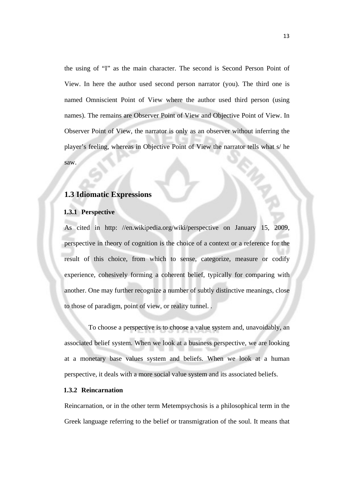the using of "I" as the main character. The second is Second Person Point of View. In here the author used second person narrator (you). The third one is named Omniscient Point of View where the author used third person (using names). The remains are Observer Point of View and Objective Point of View. In Observer Point of View, the narrator is only as an observer without inferring the player's feeling, whereas in Objective Point of View the narrator tells what s/ he saw.

#### **1.3 Idiomatic Expressions**

#### **1.3.1 Perspective**

As cited in http: //en.wikipedia.org/wiki/perspective on January 15, 2009, perspective in theory of cognition is the choice of a context or a reference for the result of this choice, from which to sense, categorize, measure or codify experience, cohesively forming a coherent belief, typically for comparing with another. One may further recognize a number of subtly distinctive meanings, close to those of paradigm, point of view, or reality tunnel. .

To choose a perspective is to choose a value system and, unavoidably, an associated belief system. When we look at a business perspective, we are looking at a monetary base values system and beliefs. When we look at a human perspective, it deals with a more social value system and its associated beliefs.

#### **1.3.2 Reincarnation**

Reincarnation, or in the other term Metempsychosis is a philosophical term in the Greek language referring to the belief or transmigration of the soul. It means that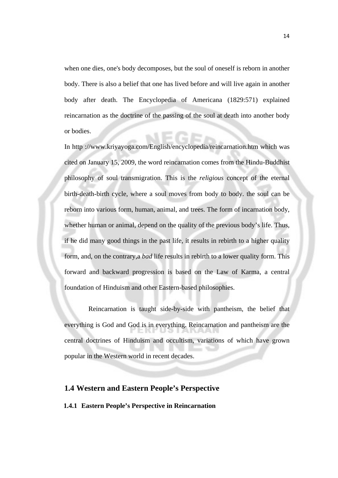when one dies, one's body decomposes, but the soul of oneself is reborn in another body. There is also a belief that one has lived before and will live again in another body after death. The Encyclopedia of Americana (1829:571) explained reincarnation as the doctrine of the passing of the soul at death into another body or bodies.

In http ://www.kriyayoga.com/English/encyclopedia/reincarnation.htm which was cited on January 15, 2009, the word reincarnation comes from the Hindu-Buddhist philosophy of soul transmigration. This is the *religious* concept of the eternal birth-death-birth cycle, where a soul moves from body to body. the soul can be reborn into various form, human, animal, and trees. The form of incarnation body, whether human or animal, depend on the quality of the previous body's life. Thus, if he did many good things in the past life, it results in rebirth to a higher quality form, and, on the contrary,a *bad* life results in rebirth to a lower quality form. This forward and backward progression is based on the Law of Karma, a central foundation of Hinduism and other Eastern-based philosophies.

Reincarnation is taught side-by-side with pantheism, the belief that everything is God and God is in everything. Reincarnation and pantheism are the central doctrines of Hinduism and occultism, variations of which have grown popular in the Western world in recent decades.

#### **1.4 Western and Eastern People's Perspective**

#### **1.4.1 Eastern People's Perspective in Reincarnation**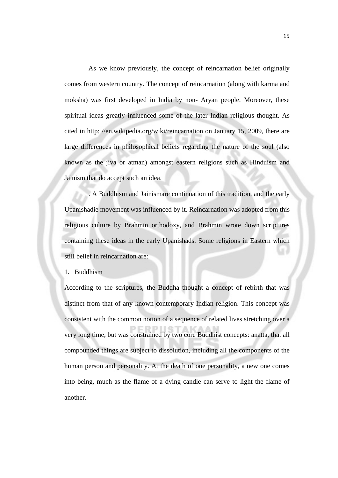As we know previously, the concept of reincarnation belief originally comes from western country. The concept of reincarnation (along with karma and moksha) was first developed in India by non- Aryan people. Moreover, these spiritual ideas greatly influenced some of the later Indian religious thought. As cited in http: //en.wikipedia.org/wiki/reincarnation on January 15, 2009, there are large differences in philosophical beliefs regarding the nature of the soul (also known as the jiva or atman) amongst eastern religions such as Hinduism and Jainism that do accept such an idea.

. A Buddhism and Jainismare continuation of this tradition, and the early Upanishadie movement was influenced by it. Reincarnation was adopted from this religious culture by Brahmin orthodoxy, and Brahmin wrote down scriptures containing these ideas in the early Upanishads. Some religions in Eastern which still belief in reincarnation are:

1. Buddhism

According to the scriptures, the Buddha thought a concept of rebirth that was distinct from that of any known contemporary Indian religion. This concept was consistent with the common notion of a sequence of related lives stretching over a very long time, but was constrained by two core Buddhist concepts: anatta, that all compounded things are subject to dissolution, including all the components of the human person and personality. At the death of one personality, a new one comes into being, much as the flame of a dying candle can serve to light the flame of another.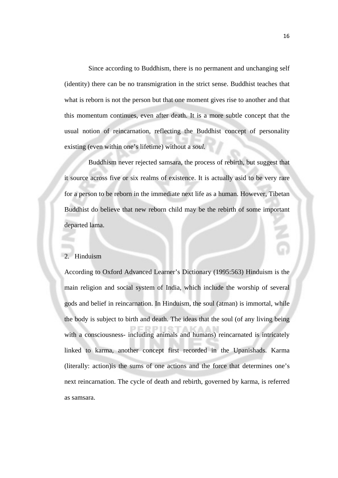Since according to Buddhism, there is no permanent and unchanging self (identity) there can be no transmigration in the strict sense. Buddhist teaches that what is reborn is not the person but that one moment gives rise to another and that this momentum continues, even after death. It is a more subtle concept that the usual notion of reincarnation, reflecting the Buddhist concept of personality existing (even within one's lifetime) without a *soul.* 

Buddhism never rejected samsara, the process of rebirth, but suggest that it source across five or six realms of existence. It is actually asid to be very rare for a person to be reborn in the immediate next life as a human. However, Tibetan Buddhist do believe that new reborn child may be the rebirth of some important departed lama.

#### 2. Hinduism

According to Oxford Advanced Learner's Dictionary (1995:563) Hinduism is the main religion and social system of India, which include the worship of several gods and belief in reincarnation. In Hinduism, the soul (atman) is immortal, while the body is subject to birth and death. The ideas that the soul (of any living being with a consciousness- including animals and humans) reincarnated is intricately linked to karma, another concept first recorded in the Upanishads. Karma (literally: action)is the sums of one actions and the force that determines one's next reincarnation. The cycle of death and rebirth, governed by karma, is referred as samsara.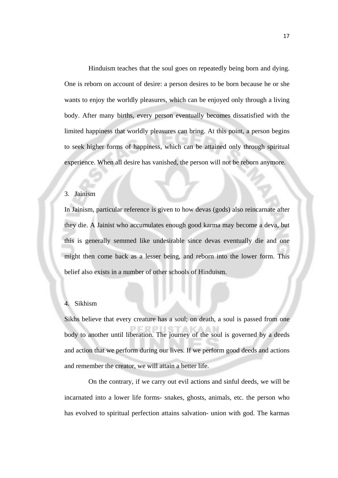Hinduism teaches that the soul goes on repeatedly being born and dying. One is reborn on account of desire: a person desires to be born because he or she wants to enjoy the worldly pleasures, which can be enjoyed only through a living body. After many births, every person eventually becomes dissatisfied with the limited happiness that worldly pleasures can bring. At this point, a person begins to seek higher forms of happiness, which can be attained only through spiritual experience. When all desire has vanished, the person will not be reborn anymore.

#### 3. Jainism

In Jainism, particular reference is given to how devas (gods) also reincarnate after they die. A Jainist who accumulates enough good karma may become a deva, but this is generally semmed like undesirable since devas eventually die and one might then come back as a lesser being, and reborn into the lower form. This belief also exists in a number of other schools of Hinduism.

#### 4. Sikhism

Sikhs believe that every creature has a soul; on death, a soul is passed from one body to another until liberation. The journey of the soul is governed by a deeds and action that we perform during our lives. If we perform good deeds and actions and remember the creator, we will attain a better life.

On the contrary, if we carry out evil actions and sinful deeds, we will be incarnated into a lower life forms- snakes, ghosts, animals, etc. the person who has evolved to spiritual perfection attains salvation- union with god. The karmas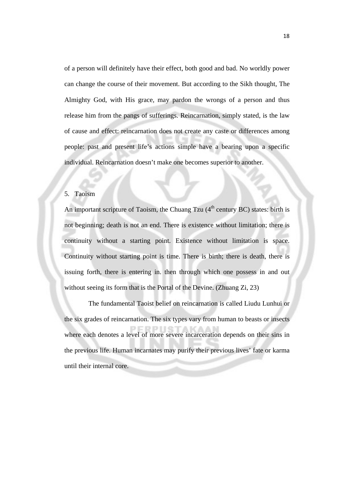of a person will definitely have their effect, both good and bad. No worldly power can change the course of their movement. But according to the Sikh thought, The Almighty God, with His grace, may pardon the wrongs of a person and thus release him from the pangs of sufferings. Reincarnation, simply stated, is the law of cause and effect: reincarnation does not create any caste or differences among people: past and present life's actions simple have a bearing upon a specific individual. Reincarnation doesn't make one becomes superior to another.

#### 5. Taoism

An important scripture of Taoism, the Chuang Tzu  $(4<sup>th</sup>$  century BC) states: birth is not beginning; death is not an end. There is existence without limitation; there is continuity without a starting point. Existence without limitation is space. Continuity without starting point is time. There is birth; there is death, there is issuing forth, there is entering in. then through which one possess in and out without seeing its form that is the Portal of the Devine. (Zhuang Zi, 23)

The fundamental Taoist belief on reincarnation is called Liudu Lunhui or the six grades of reincarnation. The six types vary from human to beasts or insects where each denotes a level of more severe incarceration depends on their sins in the previous life. Human incarnates may purify their previous lives' fate or karma until their internal core.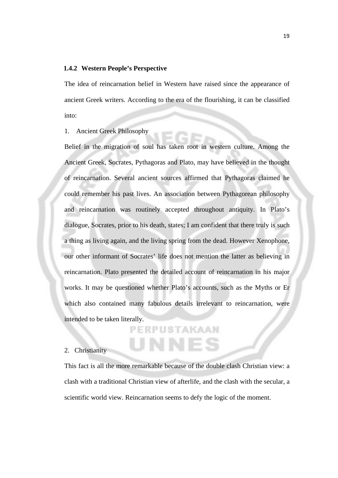#### **1.4.2 Western People's Perspective**

The idea of reincarnation belief in Western have raised since the appearance of ancient Greek writers. According to the era of the flourishing, it can be classified into:

1. Ancient Greek Philosophy

Belief in the migration of soul has taken root in western culture. Among the Ancient Greek, Socrates, Pythagoras and Plato, may have believed in the thought of reincarnation. Several ancient sources affirmed that Pythagoras claimed he could remember his past lives. An association between Pythagorean philosophy and reincarnation was routinely accepted throughout antiquity. In Plato's dialogue, Socrates, prior to his death, states; I am confident that there truly is such a thing as living again, and the living spring from the dead. However Xenophone, our other informant of Socrates' life does not mention the latter as believing in reincarnation. Plato presented the detailed account of reincarnation in his major works. It may be questioned whether Plato's accounts, such as the Myths or Er which also contained many fabulous details irrelevant to reincarnation, were intended to be taken literally.

### **PERPUSTAKAAN**

NNF

#### 2. Christianity

This fact is all the more remarkable because of the double clash Christian view: a clash with a traditional Christian view of afterlife, and the clash with the secular, a scientific world view. Reincarnation seems to defy the logic of the moment.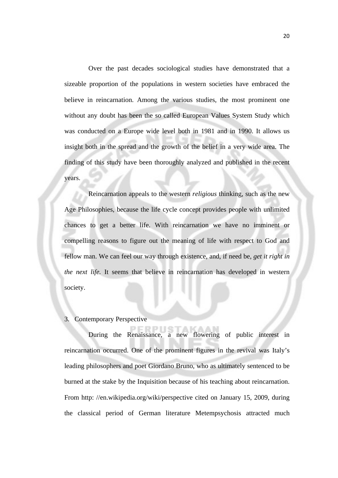Over the past decades sociological studies have demonstrated that a sizeable proportion of the populations in western societies have embraced the believe in reincarnation. Among the various studies, the most prominent one without any doubt has been the so called European Values System Study which was conducted on a Europe wide level both in 1981 and in 1990. It allows us insight both in the spread and the growth of the belief in a very wide area. The finding of this study have been thoroughly analyzed and published in the recent years.

Reincarnation appeals to the western *religious* thinking, such as the new Age Philosophies, because the life cycle concept provides people with unlimited chances to get a better life. With reincarnation we have no imminent or compelling reasons to figure out the meaning of life with respect to God and fellow man. We can feel our way through existence, and, if need be, *get it right in the next life.* It seems that believe in reincarnation has developed in western society.

3. Contemporary Perspective

During the Renaissance, a new flowering of public interest in reincarnation occurred. One of the prominent figures in the revival was Italy's leading philosophers and poet Giordano Bruno, who as ultimately sentenced to be burned at the stake by the Inquisition because of his teaching about reincarnation. From http: //en.wikipedia.org/wiki/perspective cited on January 15, 2009, during the classical period of German literature Metempsychosis attracted much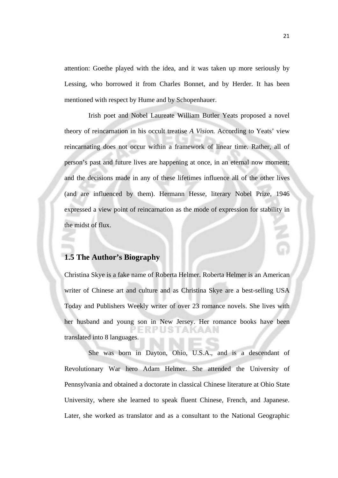attention: Goethe played with the idea, and it was taken up more seriously by Lessing, who borrowed it from Charles Bonnet, and by Herder. It has been mentioned with respect by Hume and by Schopenhauer.

Irish poet and Nobel Laureate William Butler Yeats proposed a novel theory of reincarnation in his occult treatise *A Vision.* According to Yeats' view reincarnating does not occur within a framework of linear time. Rather, all of person's past and future lives are happening at once, in an eternal now moment; and the decisions made in any of these lifetimes influence all of the other lives (and are influenced by them). Hermann Hesse, literary Nobel Prize, 1946 expressed a view point of reincarnation as the mode of expression for stability in the midst of flux.

#### **1.5 The Author's Biography**

Christina Skye is a fake name of Roberta Helmer. Roberta Helmer is an American writer of Chinese art and culture and as Christina Skye are a best-selling USA Today and Publishers Weekly writer of over 23 romance novels. She lives with her husband and young son in New Jersey. Her romance books have been translated into 8 languages.

She was born in Dayton, Ohio, U.S.A., and is a descendant of Revolutionary War hero Adam Helmer. She attended the University of Pennsylvania and obtained a doctorate in classical Chinese literature at Ohio State University, where she learned to speak fluent Chinese, French, and Japanese. Later, she worked as translator and as a consultant to the National Geographic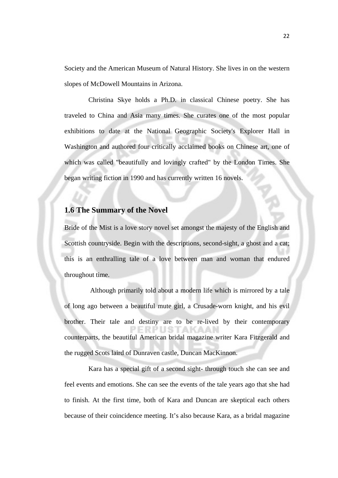Society and the American Museum of Natural History. She lives in on the western slopes of McDowell Mountains in Arizona.

Christina Skye holds a Ph.D. in classical Chinese poetry. She has traveled to China and Asia many times. She curates one of the most popular exhibitions to date at the National Geographic Society's Explorer Hall in Washington and authored four critically acclaimed books on Chinese art, one of which was called "beautifully and lovingly crafted" by the London Times. She began writing fiction in 1990 and has currently written 16 novels.

#### **1.6 The Summary of the Novel**

Bride of the Mist is a love story novel set amongst the majesty of the English and Scottish countryside. Begin with the descriptions, second-sight, a ghost and a cat; this is an enthralling tale of a love between man and woman that endured throughout time.

 Although primarily told about a modern life which is mirrored by a tale of long ago between a beautiful mute girl, a Crusade-worn knight, and his evil brother. Their tale and destiny are to be re-lived by their contemporary counterparts, the beautiful American bridal magazine writer Kara Fitzgerald and the rugged Scots laird of Dunraven castle, Duncan MacKinnon.

Kara has a special gift of a second sight- through touch she can see and feel events and emotions. She can see the events of the tale years ago that she had to finish. At the first time, both of Kara and Duncan are skeptical each others because of their coincidence meeting. It's also because Kara, as a bridal magazine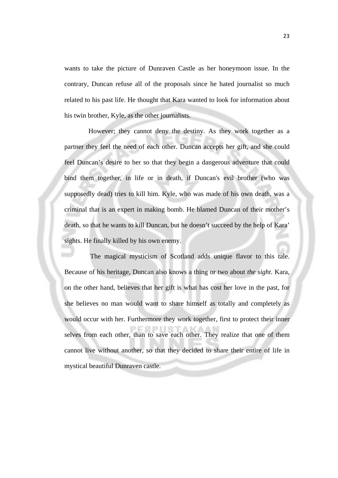wants to take the picture of Dunraven Castle as her honeymoon issue. In the contrary, Duncan refuse all of the proposals since he hated journalist so much related to his past life. He thought that Kara wanted to look for information about his twin brother, Kyle, as the other journalists.

However; they cannot deny the destiny. As they work together as a partner they feel the need of each other. Duncan accepts her gift, and she could feel Duncan's desire to her so that they begin a dangerous adventure that could bind them together, in life or in death, if Duncan's evil brother (who was supposedly dead) tries to kill him. Kyle, who was made of his own death, was a criminal that is an expert in making bomb. He blamed Duncan of their mother's death, so that he wants to kill Duncan, but he doesn't succeed by the help of Kara' sights. He finally killed by his own enemy.

 The magical mysticism of Scotland adds unique flavor to this tale. Because of his heritage, Duncan also knows a thing or two about *the sight*. Kara, on the other hand, believes that her gift is what has cost her love in the past, for she believes no man would want to share himself as totally and completely as would occur with her. Furthermore they work together, first to protect their inner selves from each other, than to save each other. They realize that one of them cannot live without another, so that they decided to share their entire of life in mystical beautiful Dunraven castle.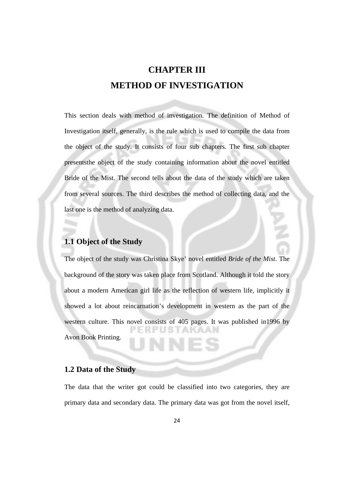## **CHAPTER III METHOD OF INVESTIGATION**

This section deals with method of investigation. The definition of Method of Investigation itself, generally, is the rule which is used to compile the data from the object of the study. It consists of four sub chapters. The first sub chapter presentsthe object of the study containing information about the novel entitled Bride of the Mist. The second tells about the data of the study which are taken from several sources. The third describes the method of collecting data, and the last one is the method of analyzing data.

#### **1.1 Object of the Study**

The object of the study was Christina Skye' novel entitled *Bride of the Mist*. The background of the story was taken place from Scotland. Although it told the story about a modern American girl life as the reflection of western life, implicitly it showed a lot about reincarnation's development in western as the part of the western culture. This novel consists of 405 pages. It was published in1996 by Avon Book Printing.

#### **1.2 Data of the Study**

The data that the writer got could be classified into two categories, they are primary data and secondary data. The primary data was got from the novel itself,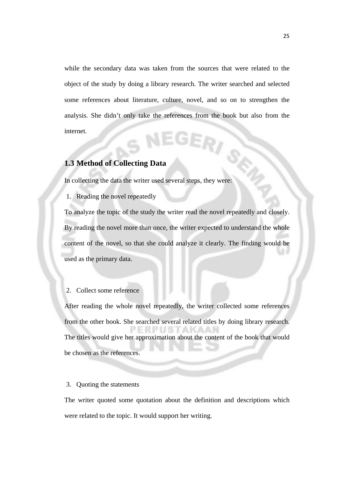while the secondary data was taken from the sources that were related to the object of the study by doing a library research. The writer searched and selected some references about literature, culture, novel, and so on to strengthen the analysis. She didn't only take the references from the book but also from the internet. 3E,

#### **1.3 Method of Collecting Data**

In collecting the data the writer used several steps, they were:

1. Reading the novel repeatedly

To analyze the topic of the study the writer read the novel repeatedly and closely. By reading the novel more than once, the writer expected to understand the whole content of the novel, so that she could analyze it clearly. The finding would be used as the primary data.

#### 2. Collect some reference

After reading the whole novel repeatedly, the writer collected some references from the other book. She searched several related titles by doing library research. The titles would give her approximation about the content of the book that would be chosen as the references.

#### 3. Quoting the statements

The writer quoted some quotation about the definition and descriptions which were related to the topic. It would support her writing.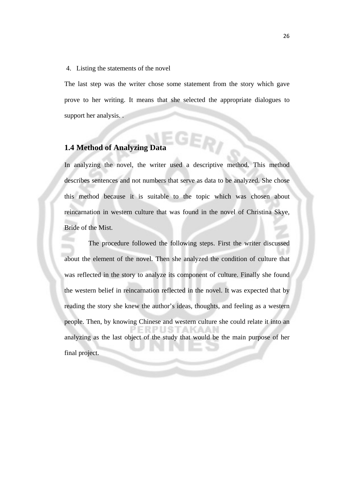#### 4. Listing the statements of the novel

The last step was the writer chose some statement from the story which gave prove to her writing. It means that she selected the appropriate dialogues to support her analysis. .

#### **1.4 Method of Analyzing Data**

In analyzing the novel, the writer used a descriptive method. This method describes sentences and not numbers that serve as data to be analyzed. She chose this method because it is suitable to the topic which was chosen about reincarnation in western culture that was found in the novel of Christina Skye, Bride of the Mist.

The procedure followed the following steps. First the writer discussed about the element of the novel. Then she analyzed the condition of culture that was reflected in the story to analyze its component of culture. Finally she found the western belief in reincarnation reflected in the novel. It was expected that by reading the story she knew the author's ideas, thoughts, and feeling as a western people. Then, by knowing Chinese and western culture she could relate it into an analyzing as the last object of the study that would be the main purpose of her final project.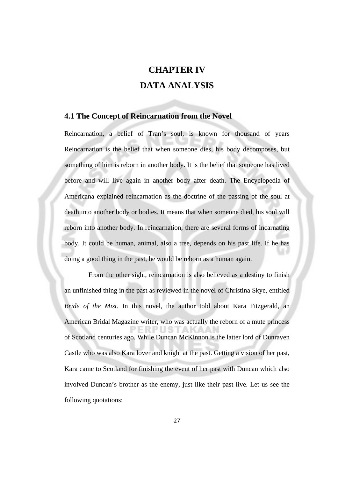## **CHAPTER IV DATA ANALYSIS**

#### **4.1 The Concept of Reincarnation from the Novel**

Reincarnation, a belief of Tran's soul, is known for thousand of years Reincarnation is the belief that when someone dies, his body decomposes, but something of him is reborn in another body. It is the belief that someone has lived before and will live again in another body after death. The Encyclopedia of Americana explained reincarnation as the doctrine of the passing of the soul at death into another body or bodies. It means that when someone died, his soul will reborn into another body. In reincarnation, there are several forms of incarnating body. It could be human, animal, also a tree, depends on his past life. If he has doing a good thing in the past, he would be reborn as a human again.

From the other sight, reincarnation is also believed as a destiny to finish an unfinished thing in the past as reviewed in the novel of Christina Skye, entitled *Bride of the Mist*. In this novel, the author told about Kara Fitzgerald, an American Bridal Magazine writer, who was actually the reborn of a mute princess of Scotland centuries ago. While Duncan McKinnon is the latter lord of Dunraven Castle who was also Kara lover and knight at the past. Getting a vision of her past, Kara came to Scotland for finishing the event of her past with Duncan which also involved Duncan's brother as the enemy, just like their past live. Let us see the following quotations: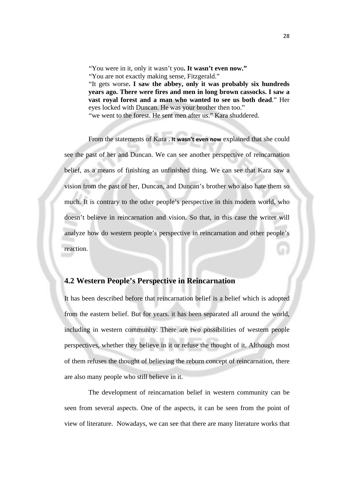"You were in it, only it wasn't you**. It wasn't even now."**

"It gets worse**. I saw the abbey, only it was probably six hundreds years ago. There were fires and men in long brown cassocks. I saw a vast royal forest and a man who wanted to see us both dead**." Her eyes locked with Duncan. He was your brother then too." "we went to the forest. He sent men after us." Kara shuddered.

From the statements of Kara **. It wasn't even now** explained that she could see the past of her and Duncan. We can see another perspective of reincarnation belief, as a means of finishing an unfinished thing. We can see that Kara saw a vision from the past of her, Duncan, and Duncan's brother who also hate them so much. It is contrary to the other people's perspective in this modern world, who doesn't believe in reincarnation and vision. So that, in this case the writer will analyze how do western people's perspective in reincarnation and other people's reaction.

#### **4.2 Western People's Perspective in Reincarnation**

It has been described before that reincarnation belief is a belief which is adopted from the eastern belief. But for years. it has been separated all around the world, including in western community. There are two possibilities of western people perspectives, whether they believe in it or refuse the thought of it. Although most of them refuses the thought of believing the reborn concept of reincarnation, there are also many people who still believe in it.

The development of reincarnation belief in western community can be seen from several aspects. One of the aspects, it can be seen from the point of view of literature. Nowadays, we can see that there are many literature works that

<sup>&</sup>quot;You are not exactly making sense, Fitzgerald."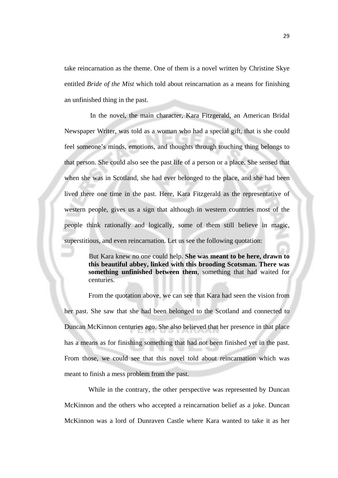take reincarnation as the theme. One of them is a novel written by Christine Skye entitled *Bride of the Mist* which told about reincarnation as a means for finishing an unfinished thing in the past.

 In the novel, the main character, Kara Fitzgerald, an American Bridal Newspaper Writer, was told as a woman who had a special gift, that is she could feel someone's minds, emotions, and thoughts through touching thing belongs to that person. She could also see the past life of a person or a place. She sensed that when she was in Scotland, she had ever belonged to the place, and she had been lived there one time in the past. Here, Kara Fitzgerald as the representative of western people, gives us a sign that although in western countries most of the people think rationally and logically, some of them still believe in magic, superstitious, and even reincarnation. Let us see the following quotation:

> But Kara knew no one could help. **She was meant to be here, drawn to this beautiful abbey, linked with this brooding Scotsman. There was something unfinished between them**, something that had waited for centuries.

From the quotation above, we can see that Kara had seen the vision from her past. She saw that she had been belonged to the Scotland and connected to Duncan McKinnon centuries ago. She also believed that her presence in that place has a means as for finishing something that had not been finished yet in the past. From those, we could see that this novel told about reincarnation which was meant to finish a mess problem from the past.

While in the contrary, the other perspective was represented by Duncan McKinnon and the others who accepted a reincarnation belief as a joke. Duncan McKinnon was a lord of Dunraven Castle where Kara wanted to take it as her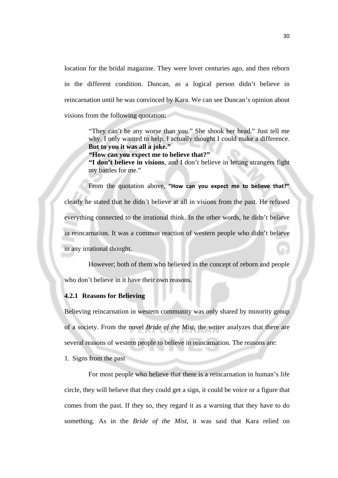location for the bridal magazine. They were lover centuries ago, and then reborn in the different condition. Duncan, as a logical person didn't believe in reincarnation until he was convinced by Kara. We can see Duncan's opinion about visions from the following quotation:

> "They can't be any worse than you." She shook her head." Just tell me why. I only wanted to help. I actually thought I could make a difference. **But to you it was all a joke."**

**"How can you expect me to believe that?"** 

**"I don't believe in visions**, and I don't believe in letting strangers fight my battles for me."

From the quotation above, **"How can you expect me to believe that?"** clearly he stated that he didn't believe at all in visions from the past. He refused everything connected to the irrational think. In the other words, he didn't believe in reincarnation. It was a common reaction of western people who didn't believe in any irrational thought.

However; both of them who believed in the concept of reborn and people who don't believe in it have their own reasons.

#### **4.2.1 Reasons for Believing**

Believing reincarnation in western community was only shared by minority group of a society. From the novel *Bride of the Mist*, the writer analyzes that there are several reasons of western people to believe in reincarnation. The reasons are:

1. Signs from the past

For most people who believe that there is a reincarnation in human's life circle, they will believe that they could get a sign, it could be voice or a figure that comes from the past. If they so, they regard it as a warning that they have to do something. As in the *Bride of the Mist*, it was said that Kara relied on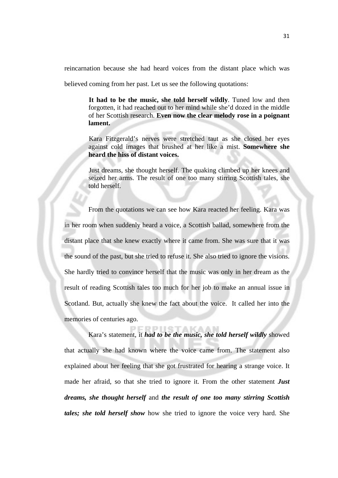reincarnation because she had heard voices from the distant place which was

believed coming from her past. Let us see the following quotations:

**It had to be the music, she told herself wildly**. Tuned low and then forgotten, it had reached out to her mind while she'd dozed in the middle of her Scottish research. **Even now the clear melody rose in a poignant lament.** 

Kara Fitzgerald's nerves were stretched taut as she closed her eyes against cold images that brushed at her like a mist. **Somewhere she heard the hiss of distant voices.** 

Just dreams, she thought herself. The quaking climbed up her knees and seized her arms. The result of one too many stirring Scottish tales, she told herself.

From the quotations we can see how Kara reacted her feeling. Kara was in her room when suddenly heard a voice, a Scottish ballad, somewhere from the distant place that she knew exactly where it came from. She was sure that it was the sound of the past, but she tried to refuse it. She also tried to ignore the visions. She hardly tried to convince herself that the music was only in her dream as the result of reading Scottish tales too much for her job to make an annual issue in Scotland. But, actually she knew the fact about the voice. It called her into the memories of centuries ago.

Kara's statement, it *had to be the music, she told herself wildly* showed that actually she had known where the voice came from. The statement also explained about her feeling that she got frustrated for hearing a strange voice. It made her afraid, so that she tried to ignore it. From the other statement *Just dreams, she thought herself* and *the result of one too many stirring Scottish tales; she told herself show* how she tried to ignore the voice very hard. She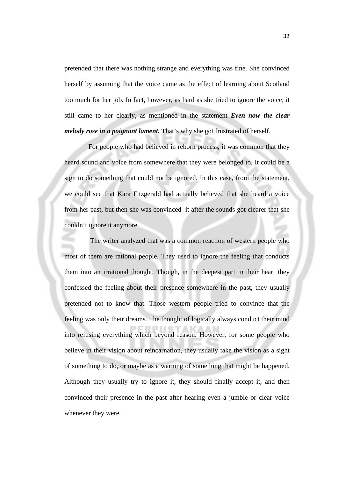pretended that there was nothing strange and everything was fine. She convinced herself by assuming that the voice came as the effect of learning about Scotland too much for her job. In fact, however, as hard as she tried to ignore the voice, it still came to her clearly, as mentioned in the statement *Even now the clear melody rose in a poignant lament.* That's why she got frustrated of herself.

For people who had believed in reborn process, it was common that they heard sound and voice from somewhere that they were belonged to. It could be a sign to do something that could not be ignored. In this case, from the statement, we could see that Kara Fitzgerald had actually believed that she heard a voice from her past, but then she was convinced it after the sounds got clearer that she couldn't ignore it anymore.

 The writer analyzed that was a common reaction of western people who most of them are rational people. They used to ignore the feeling that conducts them into an irrational thought. Though, in the deepest part in their heart they confessed the feeling about their presence somewhere in the past, they usually pretended not to know that. Those western people tried to convince that the feeling was only their dreams. The thought of logically always conduct their mind into refusing everything which beyond reason. However, for some people who believe in their vision about reincarnation, they usually take the vision as a sight of something to do, or maybe as a warning of something that might be happened. Although they usually try to ignore it, they should finally accept it, and then convinced their presence in the past after hearing even a jumble or clear voice whenever they were.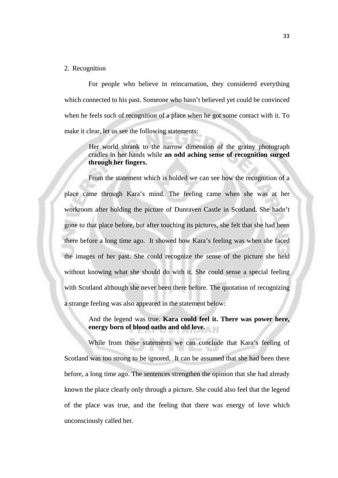#### 2. Recognition

For people who believe in reincarnation, they considered everything which connected to his past. Someone who hasn't believed yet could be convinced when he feels such of recognition of a place when he got some contact with it. To make it clear, let us see the following statements:

> Her world shrank to the narrow dimension of the grainy photograph cradles in her hands while **an odd aching sense of recognition surged through her fingers.**

From the statement which is bolded we can see how the recognition of a place came through Kara's mind. The feeling came when she was at her workroom after holding the picture of Dunraven Castle in Scotland. She hadn't gone to that place before, but after touching its pictures, she felt that she had been there before a long time ago. It showed how Kara's feeling was when she faced the images of her past. She could recognize the sense of the picture she held without knowing what she should do with it. She could sense a special feeling with Scotland although she never been there before. The quotation of recognizing a strange feeling was also appeared in the statement below:

> And the legend was true. **Kara could feel it. There was power here, energy born of blood oaths and old love.**

While from those statements we can conclude that Kara's feeling of Scotland was too strong to be ignored. It can be assumed that she had been there before, a long time ago. The sentences strengthen the opinion that she had already known the place clearly only through a picture. She could also feel that the legend of the place was true, and the feeling that there was energy of love which unconsciously called her.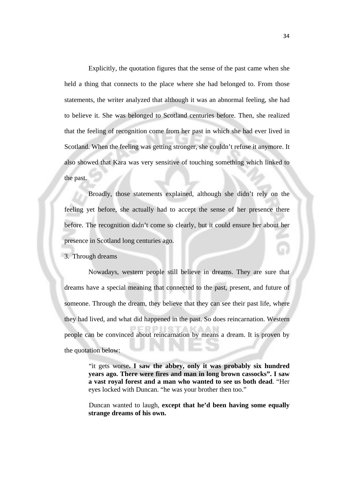Explicitly, the quotation figures that the sense of the past came when she held a thing that connects to the place where she had belonged to. From those statements, the writer analyzed that although it was an abnormal feeling, she had to believe it. She was belonged to Scotland centuries before. Then, she realized that the feeling of recognition come from her past in which she had ever lived in Scotland. When the feeling was getting stronger, she couldn't refuse it anymore. It also showed that Kara was very sensitive of touching something which linked to the past.

Broadly, those statements explained, although she didn't rely on the feeling yet before, she actually had to accept the sense of her presence there before. The recognition didn't come so clearly, but it could ensure her about her presence in Scotland long centuries ago.

3. Through dreams

Nowadays, western people still believe in dreams. They are sure that dreams have a special meaning that connected to the past, present, and future of someone. Through the dream, they believe that they can see their past life, where they had lived, and what did happened in the past. So does reincarnation. Western RPIIS people can be convinced about reincarnation by means a dream. It is proven by the quotation below:

> "it gets worse**. I saw the abbey, only it was probably six hundred years ago. There were fires and man in long brown cassocks". I saw a vast royal forest and a man who wanted to see us both dead**. "Her eyes locked with Duncan. "he was your brother then too."

> Duncan wanted to laugh, **except that he'd been having some equally strange dreams of his own.**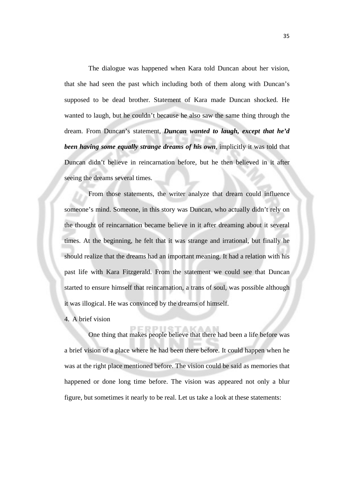The dialogue was happened when Kara told Duncan about her vision, that she had seen the past which including both of them along with Duncan's supposed to be dead brother. Statement of Kara made Duncan shocked. He wanted to laugh, but he couldn't because he also saw the same thing through the dream. From Duncan's statement, *Duncan wanted to laugh, except that he'd been having some equally strange dreams of his own,* implicitly it was told that Duncan didn't believe in reincarnation before, but he then believed in it after seeing the dreams several times.

From those statements, the writer analyze that dream could influence someone's mind. Someone, in this story was Duncan, who actually didn't rely on the thought of reincarnation became believe in it after dreaming about it several times. At the beginning, he felt that it was strange and irrational, but finally he should realize that the dreams had an important meaning. It had a relation with his past life with Kara Fitzgerald. From the statement we could see that Duncan started to ensure himself that reincarnation, a trans of soul, was possible although it was illogical. He was convinced by the dreams of himself.

4. A brief vision

One thing that makes people believe that there had been a life before was a brief vision of a place where he had been there before. It could happen when he was at the right place mentioned before. The vision could be said as memories that happened or done long time before. The vision was appeared not only a blur figure, but sometimes it nearly to be real. Let us take a look at these statements: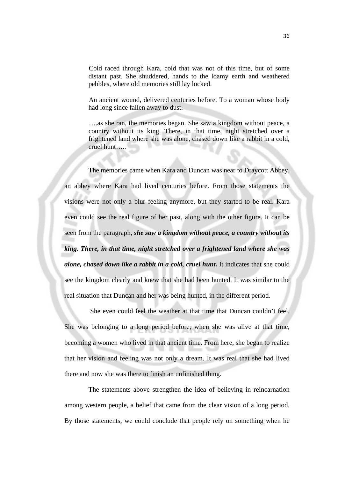Cold raced through Kara, cold that was not of this time, but of some distant past. She shuddered, hands to the loamy earth and weathered pebbles, where old memories still lay locked.

An ancient wound, delivered centuries before. To a woman whose body had long since fallen away to dust.

….as she ran, the memories began. She saw a kingdom without peace, a country without its king. There, in that time, night stretched over a frightened land where she was alone, chased down like a rabbit in a cold, cruel hunt…..

The memories came when Kara and Duncan was near to Draycott Abbey, an abbey where Kara had lived centuries before. From those statements the visions were not only a blur feeling anymore, but they started to be real. Kara even could see the real figure of her past, along with the other figure. It can be seen from the paragraph, *she saw a kingdom without peace, a country without its king. There, in that time, night stretched over a frightened land where she was alone, chased down like a rabbit in a cold, cruel hunt.* It indicates that she could see the kingdom clearly and knew that she had been hunted. It was similar to the real situation that Duncan and her was being hunted, in the different period.

 She even could feel the weather at that time that Duncan couldn't feel. She was belonging to a long period before, when she was alive at that time, becoming a women who lived in that ancient time. From here, she began to realize that her vision and feeling was not only a dream. It was real that she had lived there and now she was there to finish an unfinished thing.

The statements above strengthen the idea of believing in reincarnation among western people, a belief that came from the clear vision of a long period. By those statements, we could conclude that people rely on something when he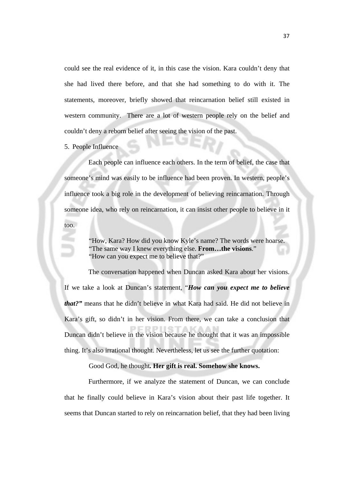could see the real evidence of it, in this case the vision. Kara couldn't deny that she had lived there before, and that she had something to do with it. The statements, moreover, briefly showed that reincarnation belief still existed in western community. There are a lot of western people rely on the belief and couldn't deny a reborn belief after seeing the vision of the past.

5. People Influence

Each people can influence each others. In the term of belief, the case that someone's mind was easily to be influence had been proven. In western, people's influence took a big role in the development of believing reincarnation. Through someone idea, who rely on reincarnation, it can insist other people to believe in it too.

> "How, Kara? How did you know Kyle's name? The words were hoarse. "The same way I knew everything else. **From…the visions**." "How can you expect me to believe that?"

The conversation happened when Duncan asked Kara about her visions. If we take a look at Duncan's statement, "*How can you expect me to believe that?"* means that he didn't believe in what Kara had said. He did not believe in Kara's gift, so didn't in her vision. From there, we can take a conclusion that Duncan didn't believe in the vision because he thought that it was an impossible thing. It's also irrational thought. Nevertheless, let us see the further quotation:

Good God, he thought*.* **Her gift is real. Somehow she knows.**

Furthermore, if we analyze the statement of Duncan, we can conclude that he finally could believe in Kara's vision about their past life together. It seems that Duncan started to rely on reincarnation belief, that they had been living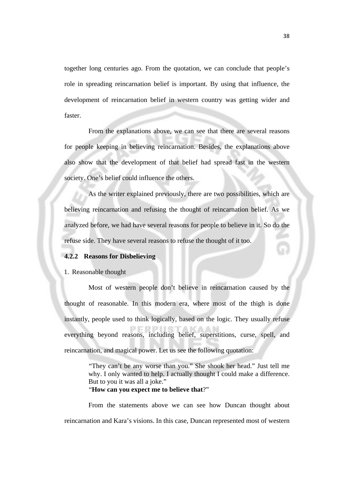together long centuries ago. From the quotation, we can conclude that people's role in spreading reincarnation belief is important. By using that influence, the development of reincarnation belief in western country was getting wider and faster.

From the explanations above, we can see that there are several reasons for people keeping in believing reincarnation. Besides, the explanations above also show that the development of that belief had spread fast in the western society. One's belief could influence the others.

As the writer explained previously, there are two possibilities, which are believing reincarnation and refusing the thought of reincarnation belief. As we analyzed before, we had have several reasons for people to believe in it. So do the refuse side. They have several reasons to refuse the thought of it too.

#### **4.2.2 Reasons for Disbelieving**

1. Reasonable thought

Most of western people don't believe in reincarnation caused by the thought of reasonable. In this modern era, where most of the thigh is done instantly, people used to think logically, based on the logic. They usually refuse everything beyond reasons, including belief, superstitions, curse, spell, and reincarnation, and magical power. Let us see the following quotation:

> "They can't be any worse than you." She shook her head." Just tell me why. I only wanted to help. I actually thought I could make a difference. But to you it was all a joke."

"**How can you expect me to believe that**?"

From the statements above we can see how Duncan thought about reincarnation and Kara's visions. In this case, Duncan represented most of western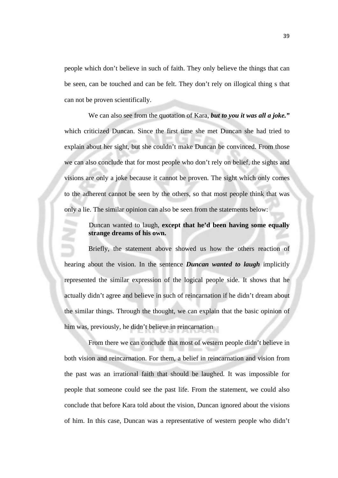people which don't believe in such of faith. They only believe the things that can be seen, can be touched and can be felt. They don't rely on illogical thing s that can not be proven scientifically.

We can also see from the quotation of Kara, *but to you it was all a joke."*  which criticized Duncan. Since the first time she met Duncan she had tried to explain about her sight, but she couldn't make Duncan be convinced. From those we can also conclude that for most people who don't rely on belief, the sights and visions are only a joke because it cannot be proven. The sight which only comes to the adherent cannot be seen by the others, so that most people think that was only a lie. The similar opinion can also be seen from the statements below:

> Duncan wanted to laugh, **except that he'd been having some equally strange dreams of his own.**

Briefly, the statement above showed us how the others reaction of hearing about the vision. In the sentence *Duncan wanted to laugh* implicitly represented the similar expression of the logical people side. It shows that he actually didn't agree and believe in such of reincarnation if he didn't dream about the similar things. Through the thought, we can explain that the basic opinion of him was, previously, he didn't believe in reincarnation

From there we can conclude that most of western people didn't believe in both vision and reincarnation. For them, a belief in reincarnation and vision from the past was an irrational faith that should be laughed. It was impossible for people that someone could see the past life. From the statement, we could also conclude that before Kara told about the vision, Duncan ignored about the visions of him. In this case, Duncan was a representative of western people who didn't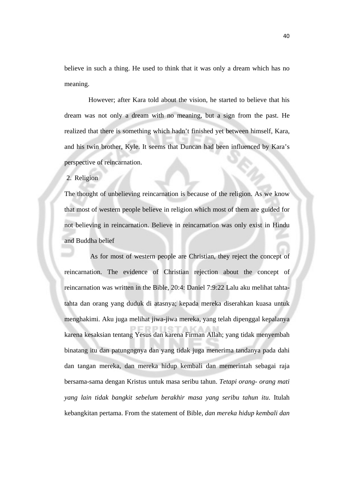believe in such a thing. He used to think that it was only a dream which has no meaning.

However; after Kara told about the vision, he started to believe that his dream was not only a dream with no meaning, but a sign from the past. He realized that there is something which hadn't finished yet between himself, Kara, and his twin brother, Kyle. It seems that Duncan had been influenced by Kara's perspective of reincarnation.

#### 2. Religion

The thought of unbelieving reincarnation is because of the religion. As we know that most of western people believe in religion which most of them are guided for not believing in reincarnation. Believe in reincarnation was only exist in Hindu and Buddha belief

 As for most of western people are Christian, they reject the concept of reincarnation. The evidence of Christian rejection about the concept of reincarnation was written in the Bible, 20:4: Daniel 7:9:22 Lalu aku melihat tahtatahta dan orang yang duduk di atasnya; kepada mereka diserahkan kuasa untuk menghakimi. Aku juga melihat jiwa-jiwa mereka, yang telah dipenggal kepalanya karena kesaksian tentang Yesus dan karena Firman Allah; yang tidak menyembah binatang itu dan patungngnya dan yang tidak juga menerima tandanya pada dahi dan tangan mereka, dan mereka hidup kembali dan memerintah sebagai raja bersama-sama dengan Kristus untuk masa seribu tahun. *Tetapi orang- orang mati yang lain tidak bangkit sebelum berakhir masa yang seribu tahun itu*. Itulah kebangkitan pertama. From the statement of Bible, *dan mereka hidup kembali dan*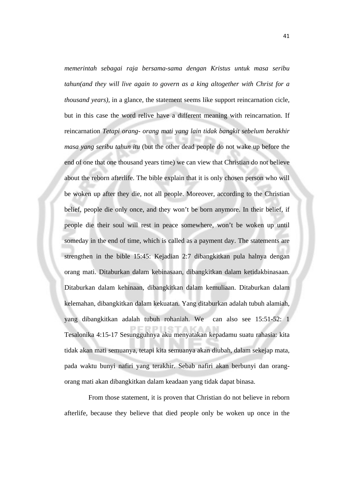*memerintah sebagai raja bersama-sama dengan Kristus untuk masa seribu tahun(and they will live again to govern as a king altogether with Christ for a thousand years)*, in a glance, the statement seems like support reincarnation cicle, but in this case the word relive have a different meaning with reincarnation. If reincarnation *Tetapi orang- orang mati yang lain tidak bangkit sebelum berakhir masa yang seribu tahun itu* (but the other dead people do not wake up before the end of one that one thousand years time) we can view that Christian do not believe about the reborn afterlife. The bible explain that it is only chosen person who will be woken up after they die, not all people. Moreover, according to the Christian belief, people die only once, and they won't be born anymore. In their belief, if people die their soul will rest in peace somewhere, won't be woken up until someday in the end of time, which is called as a payment day. The statements are strengthen in the bible 15:45: Kejadian 2:7 dibangkitkan pula halnya dengan orang mati. Ditaburkan dalam kebinasaan, dibangkitkan dalam ketidakbinasaan. Ditaburkan dalam kehinaan, dibangkitkan dalam kemuliaan. Ditaburkan dalam kelemahan, dibangkitkan dalam kekuatan. Yang ditaburkan adalah tubuh alamiah, yang dibangkitkan adalah tubuh rohaniah. We can also see 15:51-52: 1 Tesalonika 4:15-17 Sesungguhnya aku menyatakan kepadamu suatu rahasia: kita tidak akan mati semuanya, tetapi kita semuanya akan diubah, dalam sekejap mata, pada waktu bunyi nafiri yang terakhir. Sebab nafiri akan berbunyi dan orangorang mati akan dibangkitkan dalam keadaan yang tidak dapat binasa.

From those statement, it is proven that Christian do not believe in reborn afterlife, because they believe that died people only be woken up once in the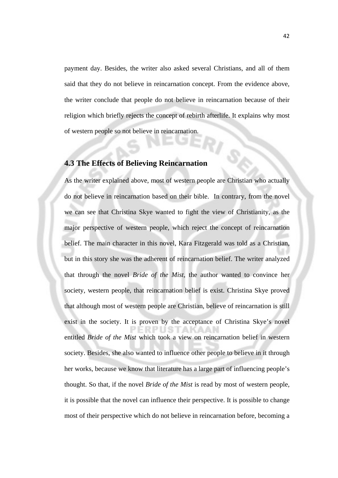payment day. Besides, the writer also asked several Christians, and all of them said that they do not believe in reincarnation concept. From the evidence above, the writer conclude that people do not believe in reincarnation because of their religion which briefly rejects the concept of rebirth afterlife. It explains why most of western people so not believe in reincarnation.

#### **4.3 The Effects of Believing Reincarnation**

As the writer explained above, most of western people are Christian who actually do not believe in reincarnation based on their bible. In contrary, from the novel we can see that Christina Skye wanted to fight the view of Christianity, as the major perspective of western people, which reject the concept of reincarnation belief. The main character in this novel, Kara Fitzgerald was told as a Christian, but in this story she was the adherent of reincarnation belief. The writer analyzed that through the novel *Bride of the Mist,* the author wanted to convince her society, western people, that reincarnation belief is exist. Christina Skye proved that although most of western people are Christian, believe of reincarnation is still exist in the society. It is proven by the acceptance of Christina Skye's novel entitled *Bride of the Mist* which took a view on reincarnation belief in western society. Besides, she also wanted to influence other people to believe in it through her works, because we know that literature has a large part of influencing people's thought. So that, if the novel *Bride of the Mist* is read by most of western people, it is possible that the novel can influence their perspective. It is possible to change most of their perspective which do not believe in reincarnation before, becoming a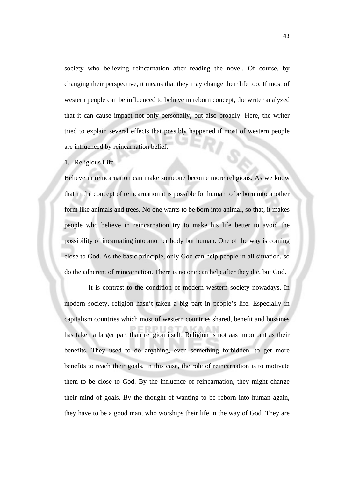society who believing reincarnation after reading the novel. Of course, by changing their perspective, it means that they may change their life too. If most of western people can be influenced to believe in reborn concept, the writer analyzed that it can cause impact not only personally, but also broadly. Here, the writer tried to explain several effects that possibly happened if most of western people are influenced by reincarnation belief.

#### 1. Religious Life

Believe in reincarnation can make someone become more religious. As we know that in the concept of reincarnation it is possible for human to be born into another form like animals and trees. No one wants to be born into animal, so that, it makes people who believe in reincarnation try to make his life better to avoid the possibility of incarnating into another body but human. One of the way is coming close to God. As the basic principle, only God can help people in all situation, so do the adherent of reincarnation. There is no one can help after they die, but God.

It is contrast to the condition of modern western society nowadays. In modern society, religion hasn't taken a big part in people's life. Especially in capitalism countries which most of western countries shared, benefit and bussines has taken a larger part than religion itself. Religion is not aas important as their benefits. They used to do anything, even something forbidden, to get more benefits to reach their goals. In this case, the role of reincarnation is to motivate them to be close to God. By the influence of reincarnation, they might change their mind of goals. By the thought of wanting to be reborn into human again, they have to be a good man, who worships their life in the way of God. They are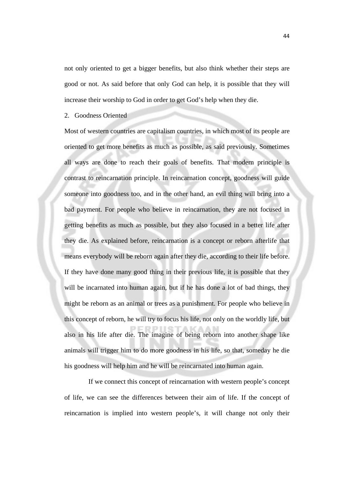not only oriented to get a bigger benefits, but also think whether their steps are good or not. As said before that only God can help, it is possible that they will increase their worship to God in order to get God's help when they die.

2. Goodness Oriented

Most of western countries are capitalism countries, in which most of its people are oriented to get more benefits as much as possible, as said previously. Sometimes all ways are done to reach their goals of benefits. That modern principle is contrast to reincarnation principle. In reincarnation concept, goodness will guide someone into goodness too, and in the other hand, an evil thing will bring into a bad payment. For people who believe in reincarnation, they are not focused in getting benefits as much as possible, but they also focused in a better life after they die. As explained before, reincarnation is a concept or reborn afterlife that means everybody will be reborn again after they die, according to their life before. If they have done many good thing in their previous life, it is possible that they will be incarnated into human again, but if he has done a lot of bad things, they might be reborn as an animal or trees as a punishment. For people who believe in this concept of reborn, he will try to focus his life, not only on the worldly life, but also in his life after die. The imagine of being reborn into another shape like animals will trigger him to do more goodness in his life, so that, someday he die his goodness will help him and he will be reincarnated into human again.

If we connect this concept of reincarnation with western people's concept of life, we can see the differences between their aim of life. If the concept of reincarnation is implied into western people's, it will change not only their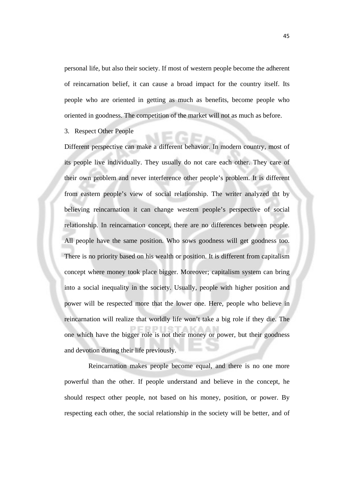personal life, but also their society. If most of western people become the adherent of reincarnation belief, it can cause a broad impact for the country itself. Its people who are oriented in getting as much as benefits, become people who oriented in goodness. The competition of the market will not as much as before.

3. Respect Other People

Different perspective can make a different behavior. In modern country, most of its people live individually. They usually do not care each other. They care of their own problem and never interference other people's problem. It is different from eastern people's view of social relationship. The writer analyzed tht by believing reincarnation it can change western people's perspective of social relationship. In reincarnation concept, there are no differences between people. All people have the same position. Who sows goodness will get goodness too. There is no priority based on his wealth or position. It is different from capitalism concept where money took place bigger. Moreover; capitalism system can bring into a social inequality in the society. Usually, people with higher position and power will be respected more that the lower one. Here, people who believe in reincarnation will realize that worldly life won't take a big role if they die. The one which have the bigger role is not their money or power, but their goodness and devotion during their life previously.

Reincarnation makes people become equal, and there is no one more powerful than the other. If people understand and believe in the concept, he should respect other people, not based on his money, position, or power. By respecting each other, the social relationship in the society will be better, and of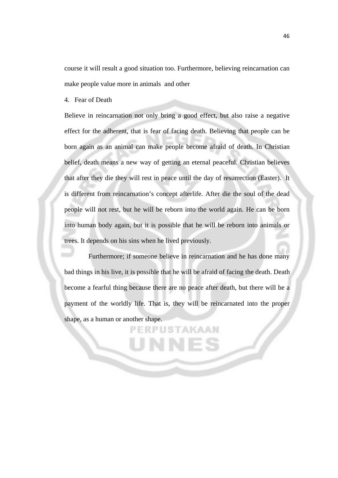course it will result a good situation too. Furthermore, believing reincarnation can make people value more in animals and other

4. Fear of Death

Believe in reincarnation not only bring a good effect, but also raise a negative effect for the adherent, that is fear of facing death. Believing that people can be born again as an animal can make people become afraid of death. In Christian belief, death means a new way of getting an eternal peaceful. Christian believes that after they die they will rest in peace until the day of resurrection (Easter). It is different from reincarnation's concept afterlife. After die the soul of the dead people will not rest, but he will be reborn into the world again. He can be born into human body again, but it is possible that he will be reborn into animals or trees. It depends on his sins when he lived previously.

Furthermore; if someone believe in reincarnation and he has done many bad things in his live, it is possible that he will be afraid of facing the death. Death become a fearful thing because there are no peace after death, but there will be a payment of the worldly life. That is, they will be reincarnated into the proper shape, as a human or another shape.

**JSTAKAAI** 

46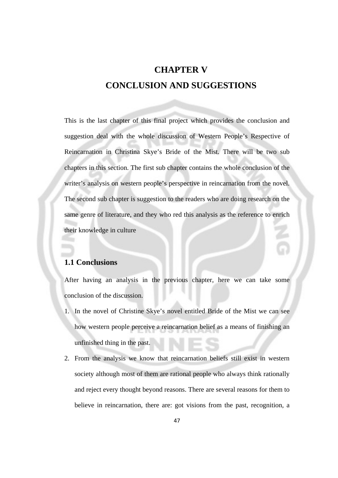## **CHAPTER V CONCLUSION AND SUGGESTIONS**

This is the last chapter of this final project which provides the conclusion and suggestion deal with the whole discussion of Western People's Respective of Reincarnation in Christina Skye's Bride of the Mist. There will be two sub chapters in this section. The first sub chapter contains the whole conclusion of the writer's analysis on western people's perspective in reincarnation from the novel. The second sub chapter is suggestion to the readers who are doing research on the same genre of literature, and they who red this analysis as the reference to enrich their knowledge in culture

#### **1.1 Conclusions**

After having an analysis in the previous chapter, here we can take some conclusion of the discussion.

- 1. In the novel of Christine Skye's novel entitled Bride of the Mist we can see how western people perceive a reincarnation belief as a means of finishing an unfinished thing in the past.
- 2. From the analysis we know that reincarnation beliefs still exist in western society although most of them are rational people who always think rationally and reject every thought beyond reasons. There are several reasons for them to believe in reincarnation, there are: got visions from the past, recognition, a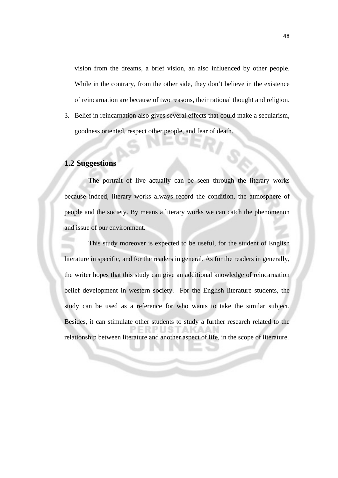vision from the dreams, a brief vision, an also influenced by other people. While in the contrary, from the other side, they don't believe in the existence of reincarnation are because of two reasons, their rational thought and religion.

3. Belief in reincarnation also gives several effects that could make a secularism, goodness oriented, respect other people, and fear of death.

#### **1.2 Suggestions**

The portrait of live actually can be seen through the literary works because indeed, literary works always record the condition, the atmosphere of people and the society. By means a literary works we can catch the phenomenon and issue of our environment.

This study moreover is expected to be useful, for the student of English literature in specific, and for the readers in general. As for the readers in generally, the writer hopes that this study can give an additional knowledge of reincarnation belief development in western society. For the English literature students, the study can be used as a reference for who wants to take the similar subject. Besides, it can stimulate other students to study a further research related to the relationship between literature and another aspect of life, in the scope of literature.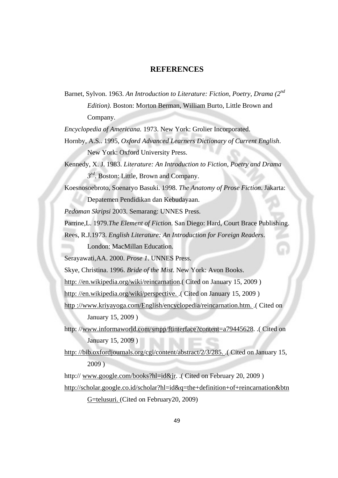#### **REFERENCES**

Barnet, Sylvon. 1963. *An Introduction to Literature: Fiction, Poetry, Drama (2nd Edition).* Boston: Morton Berman, William Burto, Little Brown and Company.

*Encyclopedia of Americana.* 1973. New York: Grolier Incorporated.

- Hornby, A.S.. 1995, *Oxford Advanced Learners Dictionary of Current English*. New York: Oxford University Press.
- Kennedy, X. J. 1983. *Literature: An Introduction to Fiction, Poetry and Drama 3rd*. Boston: Little, Brown and Company.
- Koesnosoebroto, Soenaryo Basuki. 1998. *The Anatomy of Prose Fiction*. Jakarta: Depatemen Pendidikan dan Kebudayaan.

*Pedoman Skripsi* 2003. Semarang: UNNES Press.

Parrine,L. 1979.*The Element of Fiction*. San Diego: Hard, Court Brace Publishing.

Rees, R.J.1973. *English Literature: An Introduction for Foreign Readers*.

London: MacMillan Education.

Serayawati,AA. 2000. *Prose 1*. UNNES Press.

Skye, Christina. 1996. *Bride of the Mist*. New York: Avon Books.

http://en.wikipedia.org/wiki/reincarnation. (Cited on January 15, 2009)

http: //en.wikipedia.org/wiki/perspective... (Cited on January 15, 2009)

- http ://www.kriyayoga.com/English/encyclopedia/reincarnation.htm. .( Cited on January 15, 2009 )
- http: //www.informaworld.com/smpp/ftinterface?content=a79445628. .( Cited on January 15, 2009 )
- http: //bib.oxfordjournals.org/cgi/content/abstract/2/3/285. .( Cited on January 15, 2009 )

http:// www.google.com/books?hl=id&jr. .( Cited on February 20, 2009 )

http://scholar.google.co.id/scholar?hl=id&q=the+definition+of+reincarnation&btn G=telusuri. (Cited on February20, 2009)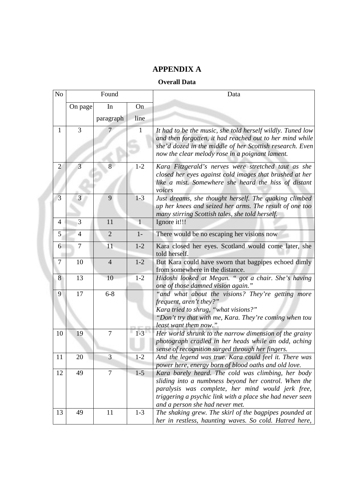## **APPENDIX A**

#### **Overall Data**

| N <sub>o</sub> |                | Found          |              | Data                                                                                                                                                                                                                                                            |
|----------------|----------------|----------------|--------------|-----------------------------------------------------------------------------------------------------------------------------------------------------------------------------------------------------------------------------------------------------------------|
|                | On page        | In             | On           |                                                                                                                                                                                                                                                                 |
|                |                | paragraph      | line         |                                                                                                                                                                                                                                                                 |
| $\mathbf{1}$   | 3              |                | 1            | It had to be the music, she told herself wildly. Tuned low<br>and then forgotten, it had reached out to her mind while<br>she'd dozed in the middle of her Scottish research. Even<br>now the clear melody rose in a poignant lament.                           |
| $\overline{2}$ | 3              | 8              | $1 - 2$      | Kara Fitzgerald's nerves were stretched taut as she<br>closed her eyes against cold images that brushed at her<br>like a mist. Somewhere she heard the hiss of distant<br>voices                                                                                |
| 3              | 3              | 9              | $1 - 3$      | Just dreams, she thought herself. The quaking climbed<br>up her knees and seized her arms. The result of one too<br>many stirring Scottish tales, she told herself.                                                                                             |
| $\overline{4}$ | 3              | 11             | $\mathbf{1}$ | Ignore it!!!                                                                                                                                                                                                                                                    |
| 5              | $\overline{4}$ | $\overline{2}$ | $1-$         | There would be no escaping her visions now                                                                                                                                                                                                                      |
| 6              | $\overline{7}$ | 11             | $1 - 2$      | Kara closed her eyes. Scotland would come later, she<br>told herself.                                                                                                                                                                                           |
| 7              | 10             | $\overline{4}$ | $1-2$        | But Kara could have sworn that bagpipes echoed dimly<br>from somewhere in the distance.                                                                                                                                                                         |
| 8              | 13             | 10             | $1 - 2$      | Hidoshi looked at Megan. " got a chair. She's having<br>one of those damned vision again."                                                                                                                                                                      |
| 9              | 17             | $6 - 8$        |              | "and what about the visions? They're getting more<br>frequent, aren't they?"<br>Kara tried to shrug, "what visions?"<br>"Don't try that with me, Kara. They're coming when tou<br><i>least want them now.</i> "                                                 |
| 10             | 19             | $\overline{7}$ | $1 - 3$      | Her world shrunk to the narrow dimension of the grainy<br>photograph cradled in her heads while an odd, aching<br>sense of recognition surged through her fingers.                                                                                              |
| 11             | 20             | $\overline{3}$ | $1-2$        | And the legend was true. Kara could feel it. There was<br>power here, energy born of blood oaths and old love.                                                                                                                                                  |
| 12             | 49             | $\overline{7}$ | $1 - 5$      | Kara barely heard. The cold was climbing, her body<br>sliding into a numbness beyond her control. When the<br>paralysis was complete, her mind would jerk free,<br>triggering a psychic link with a place she had never seen<br>and a person she had never met. |
| 13             | 49             | 11             | $1 - 3$      | The shaking grew. The skirl of the bagpipes pounded at<br>her in restless, haunting waves. So cold. Hatred here,                                                                                                                                                |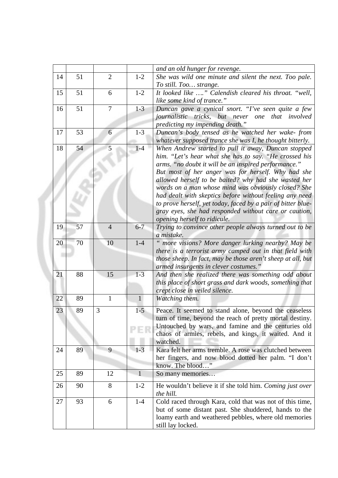|    |    |                |              | and an old hunger for revenge.                                                                                 |
|----|----|----------------|--------------|----------------------------------------------------------------------------------------------------------------|
| 14 | 51 | $\overline{2}$ | $1 - 2$      | She was wild one minute and silent the next. Too pale.                                                         |
|    |    |                |              | To still. Too strange.                                                                                         |
| 15 | 51 | 6              | $1 - 2$      | It looked like " Calendish cleared his throat. "well,                                                          |
|    |    |                |              | like some kind of trance."                                                                                     |
| 16 | 51 | 7              | $1 - 3$      | Duncan gave a cynical snort. "I've seen quite a few                                                            |
|    |    |                |              | journalistic tricks, but never one that involved                                                               |
|    |    |                |              | predicting my impending death."                                                                                |
| 17 | 53 | 6              | $1 - 3$      | Duncan's body tensed as he watched her wake-from                                                               |
|    |    |                |              | whatever supposed trance she was I, he thought bitterly.                                                       |
| 18 | 54 | 5              | $1-4$        | When Andrew started to pull it away, Duncan stopped                                                            |
|    |    |                |              | him. "Let's hear what she has to say. "He crossed his                                                          |
|    |    |                |              | arms. "no doubt it will be an inspired performance."                                                           |
|    |    |                |              | But most of her anger was for herself. Why had she                                                             |
|    |    |                |              | allowed herself to be baited? why had she wasted her                                                           |
|    |    |                |              | words on a man whose mind was obviously closed? She<br>had dealt with skeptics before without feeling any need |
|    |    |                |              | to prove herself, yet today, faced by a pair of bitter blue-                                                   |
|    |    |                |              | gray eyes, she had responded without care or caution,                                                          |
|    |    |                |              | opening herself to ridicule.                                                                                   |
| 19 | 57 | $\overline{4}$ | $6 - 7$      | Trying to convince other people always turned out to be                                                        |
|    |    |                |              | a mistake.                                                                                                     |
| 20 | 70 | 10             | $1-4$        | " more visions? More danger lurking nearby? May be                                                             |
|    |    |                |              | there is a terrorist army camped out in that field with                                                        |
|    |    |                |              | those sheep. In fact, may be those aren't sheep at all, but                                                    |
|    |    |                |              | armed insurgents in clever costumes."                                                                          |
| 21 | 88 | 15             | $1-3$        | And then she realized there was something odd about                                                            |
|    |    |                |              | this place of short grass and dark woods, something that                                                       |
|    |    |                |              | crept close in veiled silence.                                                                                 |
| 22 | 89 | $\mathbf{1}$   | $\mathbf{1}$ | Watching them.                                                                                                 |
| 23 | 89 | 3              | $1 - 5$      | Peace. It seemed to stand alone, beyond the ceaseless                                                          |
|    |    |                |              | turn of time, beyond the reach of pretty mortal destiny.                                                       |
|    |    |                |              | Untouched by wars, and famine and the centuries old                                                            |
|    |    |                |              | chaos of armies, rebels, and kings, it waited. And it                                                          |
|    |    |                |              | watched.                                                                                                       |
| 24 | 89 | 9              | $1-3$        | Kara felt her arms tremble. A rose was clutched between                                                        |
|    |    |                |              | her fingers, and now blood dotted her palm. "I don't                                                           |
|    |    |                |              | know. The blood"                                                                                               |
| 25 | 89 | 12             | 1            | So many memories                                                                                               |
| 26 | 90 | 8              | $1 - 2$      | He wouldn't believe it if she told him. Coming just over                                                       |
|    |    |                |              | the hill.                                                                                                      |
| 27 | 93 | 6              | $1-4$        | Cold raced through Kara, cold that was not of this time,                                                       |
|    |    |                |              | but of some distant past. She shuddered, hands to the                                                          |
|    |    |                |              | loamy earth and weathered pebbles, where old memories                                                          |
|    |    |                |              | still lay locked.                                                                                              |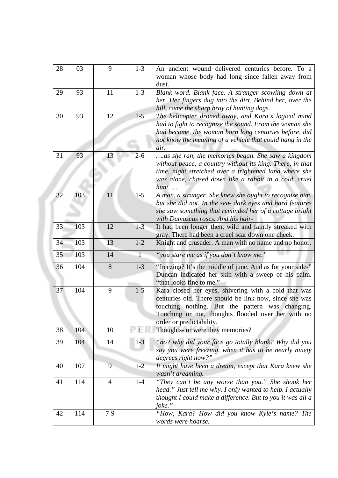| 28 | 03  | 9              | $1 - 3$      | An ancient wound delivered centuries before. To a<br>woman whose body had long since fallen away from<br>dust.                                                                                                                                      |
|----|-----|----------------|--------------|-----------------------------------------------------------------------------------------------------------------------------------------------------------------------------------------------------------------------------------------------------|
| 29 | 93  | 11             | $1 - 3$      | Blank word. Blank face. A stranger scowling down at<br>her. Her fingers dug into the dirt. Behind her, over the<br>hill, came the sharp bray of hunting dogs.                                                                                       |
| 30 | 93  | 12             | $1 - 5$      | The helicopter droned away, and Kara's logical mind<br>had to fight to recognize the sound. From the woman she<br>had become, the woman born long centuries before, did<br>not know the meaning of a vehicle that could hang in the<br>air.         |
| 31 | 93  | 13             | $2 - 6$      | as she ran, the memories began. She saw a kingdom<br>without peace, a country without its king. There, in that<br>time, night stretched over a frightened land where she<br>was alone, chased down like a rabbit in a cold, cruel<br>hunt           |
| 32 | 103 | 11             | $1 - 5$      | A man, a stranger. She knew she ought to recognize him,<br>but she did not. In the sea- dark eyes and hard features<br>she saw something that reminded her of a cottage bright<br>with Damascus roses. And his hair-                                |
| 33 | 103 | 12             | $1-3$        | It had been longer then, wild and faintly streaked with<br>gray. There had been a cruel scar down one cheek.                                                                                                                                        |
| 34 | 103 | 13             | $1 - 2$      | Knight and crusader. A man with no name and no honor.                                                                                                                                                                                               |
| 35 | 103 | 14             | $\mathbf{1}$ | "you stare me as if you don't know me."                                                                                                                                                                                                             |
| 36 | 104 | 8              | $1 - 3$      | "freezing? It's the middle of june. And as for your side-"<br>Duncan indicated her skin with a sweep of his palm.<br>"that looks fine to me."                                                                                                       |
| 37 | 104 | 9              | $1 - 5$      | Kara closed her eyes, shivering with a cold that was<br>centuries old. There should be link now, since she was<br>touching nothing. But the pattern was changing.<br>Touching or not, thoughts flooded over her with no<br>order or predictability. |
| 38 | 104 | 10             | $\pm$        | Thoughts- or were they memories?                                                                                                                                                                                                                    |
| 39 | 104 | 14             | $1-3$        | "no? why did your face go totally blank? Why did you<br>say you were freezing, when it has to be nearly ninety<br>degrees right now?"                                                                                                               |
| 40 | 107 | 9              | $1 - 2$      | It might have been a dream, except that Kara knew she<br>wasn't dreaming.                                                                                                                                                                           |
| 41 | 114 | $\overline{4}$ | $1-4$        | "They can't be any worse than you." She shook her<br>head." Just tell me why. I only wanted to help. I actually<br>thought I could make a difference. But to you it was all a<br>joke."                                                             |
| 42 | 114 | $7-9$          |              | "How, Kara? How did you know Kyle's name? The<br>words were hoarse.                                                                                                                                                                                 |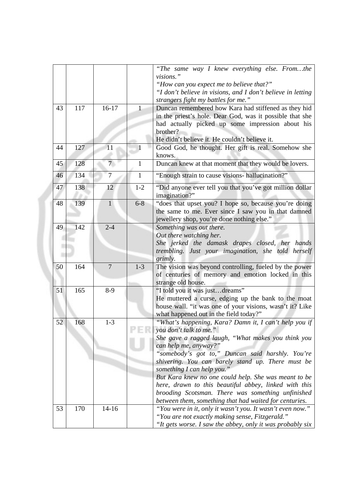|    |     |                 |              | "The same way I knew everything else. Fromthe<br>visions."<br>"How can you expect me to believe that?"<br>"I don't believe in visions, and I don't believe in letting<br>strangers fight my battles for me."                                                                                                                                                                                                                                                                                                                          |
|----|-----|-----------------|--------------|---------------------------------------------------------------------------------------------------------------------------------------------------------------------------------------------------------------------------------------------------------------------------------------------------------------------------------------------------------------------------------------------------------------------------------------------------------------------------------------------------------------------------------------|
| 43 | 117 | $16-17$         | 1            | Duncan remembered how Kara had stiffened as they hid<br>in the priest's hole. Dear God, was it possible that she<br>had actually picked up some impression about his<br>brother?<br>He didn't believe it. He couldn't believe it.                                                                                                                                                                                                                                                                                                     |
| 44 | 127 | 11              | $\mathbf{1}$ | Good God, he thought. Her gift is real. Somehow she<br>knows.                                                                                                                                                                                                                                                                                                                                                                                                                                                                         |
| 45 | 128 | $7\overline{ }$ | $\mathbf{1}$ | Duncan knew at that moment that they would be lovers.                                                                                                                                                                                                                                                                                                                                                                                                                                                                                 |
| 46 | 134 | $\overline{7}$  | 1            | "Enough strain to cause visions- hallucination?"                                                                                                                                                                                                                                                                                                                                                                                                                                                                                      |
| 47 | 138 | 12              | $1 - 2$      | "Did anyone ever tell you that you've got million dollar<br>imagination?"                                                                                                                                                                                                                                                                                                                                                                                                                                                             |
| 48 | 139 | $\mathbf{1}$    | $6 - 8$      | "does that upset you? I hope so, because you're doing<br>the same to me. Ever since I saw you in that damned<br>jewellery shop, you're done nothing else."                                                                                                                                                                                                                                                                                                                                                                            |
| 49 | 142 | $2 - 4$         |              | Something was out there.<br>Out there watching her.<br>She jerked the damask drapes closed, her hands<br>trembling. Just your imagination, she told herself<br>grimly.                                                                                                                                                                                                                                                                                                                                                                |
| 50 | 164 | $\overline{7}$  | $1 - 3$      | The vision was beyond controlling, fueled by the power<br>of centuries of memory and emotion locked in this<br>strange old house.                                                                                                                                                                                                                                                                                                                                                                                                     |
| 51 | 165 | $8-9$           |              | "I told you it was justdreams"<br>He muttered a curse, edging up the bank to the moat<br>house wall. "it was one of your visions, wasn't it? Like<br>what happened out in the field today?"                                                                                                                                                                                                                                                                                                                                           |
| 52 | 168 | $1-3$           |              | "What's happening, Kara? Damn it, I can't help you if<br>you don't talk to me."<br>She gave a ragged laugh, "What makes you think you<br>can help me, anyway?"<br>"somebody's got to," Duncan said harshly. You're<br>shivering. You can barely stand up. There must be<br>something I can help you."<br>But Kara knew no one could help. She was meant to be<br>here, drawn to this beautiful abbey, linked with this<br>brooding Scotsman. There was something unfinished<br>between them, something that had waited for centuries. |
| 53 | 170 | $14 - 16$       |              | "You were in it, only it wasn't you. It wasn't even now."<br>"You are not exactly making sense, Fitzgerald."<br>"It gets worse. I saw the abbey, only it was probably six                                                                                                                                                                                                                                                                                                                                                             |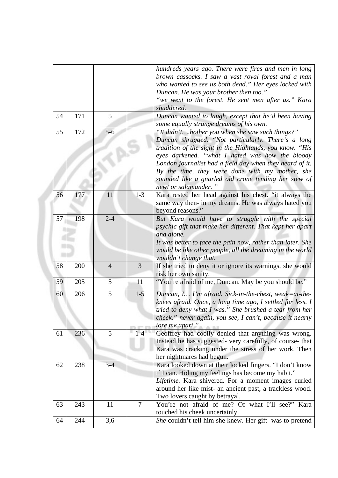|    |     |                |                | hundreds years ago. There were fires and men in long<br>brown cassocks. I saw a vast royal forest and a man<br>who wanted to see us both dead." Her eyes locked with<br>Duncan. He was your brother then too."                                                                                                                                                                                                    |
|----|-----|----------------|----------------|-------------------------------------------------------------------------------------------------------------------------------------------------------------------------------------------------------------------------------------------------------------------------------------------------------------------------------------------------------------------------------------------------------------------|
|    |     |                |                | "we went to the forest. He sent men after us." Kara<br>shuddered.                                                                                                                                                                                                                                                                                                                                                 |
| 54 | 171 | 5              |                | Duncan wanted to laugh, except that he'd been having<br>some equally strange dreams of his own.                                                                                                                                                                                                                                                                                                                   |
| 55 | 172 | $5-6$          |                | "It didn'tbother you when she saw such things?"<br>Duncan shrugged. "Not particularly. There's a long<br>tradition of the sight in the Highlands, you know. "His<br>eyes darkened. "what I hated was how the bloody<br>London journalist had a field day when they heard of it.<br>By the time, they were done with my mother, she<br>sounded like a gnarled old crone tending her stew of<br>newt or salamander. |
| 56 | 177 | 11             | $1-3$          | Kara rested her head against his chest. "it always the<br>same way then- in my dreams. He was always hated you<br>beyond reasons."                                                                                                                                                                                                                                                                                |
| 57 | 198 | $2 - 4$        |                | But Kara would have to struggle with the special<br>psychic gift that make her different. That kept her apart<br>and alone.<br>It was better to face the pain now, rather than later. She<br>would be like other people, all the dreaming in the world<br>wouldn't change that.                                                                                                                                   |
| 58 | 200 | $\overline{4}$ | 3              | If she tried to deny it or ignore its warnings, she would<br>risk her own sanity.                                                                                                                                                                                                                                                                                                                                 |
| 59 | 205 | 5              | 11             | "You're afraid of me, Duncan. May be you should be."                                                                                                                                                                                                                                                                                                                                                              |
| 60 | 206 | 5              | $1 - 5$        | Duncan, I I'm afraid. Sick-in-the-chest, weak=at-the-<br>knees afraid. Once, a long time ago, I settled for less. I<br>tried to deny what I was." She brushed a tear from her<br>cheek." never again, you see, I can't, because it nearly<br>tore me apart."                                                                                                                                                      |
| 61 | 236 | $\overline{5}$ | $1 - 4$        | Geoffrey had coolly denied that anything was wrong.<br>Instead he has suggested- very carefully, of course- that<br>Kara was cracking under the stress of her work. Then<br>her nightmares had begun.                                                                                                                                                                                                             |
| 62 | 238 | $3-4$          |                | Kara looked down at their locked fingers. "I don't know<br>if I can. Hiding my feelings has become my habit."<br>Lifetime. Kara shivered. For a moment images curled<br>around her like mist- an ancient past, a trackless wood.<br>Two lovers caught by betrayal.                                                                                                                                                |
| 63 | 243 | 11             | $\overline{7}$ | You're not afraid of me? Of what I'll see?" Kara<br>touched his cheek uncertainly.                                                                                                                                                                                                                                                                                                                                |
| 64 | 244 | 3,6            |                | She couldn't tell him she knew. Her gift was to pretend                                                                                                                                                                                                                                                                                                                                                           |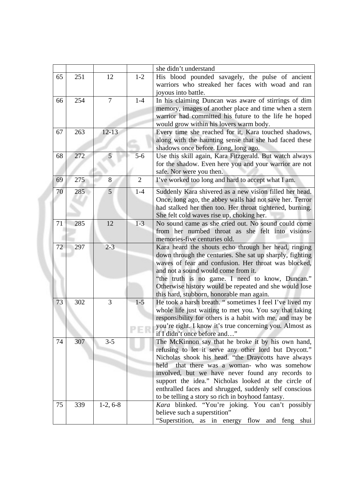|    |     |            |                | she didn't understand                                                                            |
|----|-----|------------|----------------|--------------------------------------------------------------------------------------------------|
| 65 | 251 | 12         | $1 - 2$        | His blood pounded savagely, the pulse of ancient                                                 |
|    |     |            |                | warriors who streaked her faces with woad and ran                                                |
|    |     |            |                | joyous into battle.                                                                              |
| 66 | 254 | 7          | $1-4$          | In his claiming Duncan was aware of stirrings of dim                                             |
|    |     |            |                | memory, images of another place and time when a stern                                            |
|    |     |            |                | warrior had committed his future to the life he hoped                                            |
|    |     |            |                | would grow within his lovers warm body.                                                          |
| 67 | 263 | $12 - 13$  |                | Every time she reached for it, Kara touched shadows,                                             |
|    |     |            |                | along with the haunting sense that she had faced these                                           |
|    |     |            |                | shadows once before. Long, long ago.                                                             |
| 68 | 272 | 5          | $5-6$          | Use this skill again, Kara Fitzgerald. But watch always                                          |
|    |     |            |                | for the shadow. Even here you and your warrior are not                                           |
|    |     |            |                | safe. Nor were you then.                                                                         |
| 69 | 275 | 8          | $\overline{2}$ | I've worked too long and hard to accept what I am.                                               |
|    |     |            |                |                                                                                                  |
| 70 | 285 | 5          | $1-4$          | Suddenly Kara shivered as a new vision filled her head.                                          |
|    |     |            |                | Once, long ago, the abbey walls had not save her. Terror                                         |
|    |     |            |                | had stalked her then too. Her throat tightened, burning.                                         |
| 71 | 285 | 12         | $1 - 3$        | She felt cold waves rise up, choking her.<br>No sound came as she cried out. No sound could come |
|    |     |            |                |                                                                                                  |
|    |     |            |                | from her numbed throat as she felt into visions-<br>memories-five centuries old.                 |
| 72 | 297 | $2 - 3$    |                | Kara heard the shouts echo through her head, ringing                                             |
|    |     |            |                | down through the centuries. She sat up sharply, fighting                                         |
|    |     |            |                | waves of fear and confusion. Her throat was blocked,                                             |
|    |     |            |                | and not a sound would come from it.                                                              |
|    |     |            |                | "the truth is no game. I need to know, Duncan."                                                  |
|    |     |            |                | Otherwise history would be repeated and she would lose                                           |
|    |     |            |                | this hard, stubborn, honorable man again.                                                        |
| 73 | 302 | 3          | $1 - 5$        | He took a harsh breath. " sometimes I feel I've lived my                                         |
|    |     |            |                | whole life just waiting to met you. You say that taking                                          |
|    |     |            |                | responsibility for others is a habit with me, and may be                                         |
|    |     |            |                | you're right. I know it's true concerning you. Almost as                                         |
|    |     |            |                | if I didn't once before and"                                                                     |
| 74 | 307 | $3 - 5$    |                | The McKinnon say that he broke it by his own hand,                                               |
|    |     |            |                | refusing to let it serve any other lord but Drycott."                                            |
|    |     |            |                | Nicholas shook his head. "the Draycotts have always                                              |
|    |     |            |                | that there was a woman- who was somehow<br>held                                                  |
|    |     |            |                | involved, but we have never found any records to                                                 |
|    |     |            |                | support the idea." Nicholas looked at the circle of                                              |
|    |     |            |                | enthralled faces and shrugged, suddenly self conscious                                           |
|    |     |            |                | to be telling a story so rich in boyhood fantasy.                                                |
| 75 | 339 | $1-2, 6-8$ |                | Kara blinked. "You're joking. You can't possibly                                                 |
|    |     |            |                | believe such a superstition"                                                                     |
|    |     |            |                | "Superstition, as in energy flow and feng shui                                                   |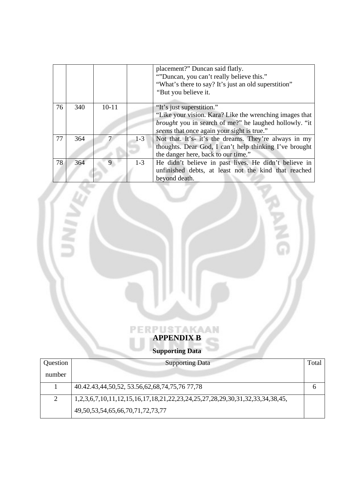|    |     |             |         | placement?" Duncan said flatly.<br>"Duncan, you can't really believe this."<br>"What's there to say? It's just an old superstition"<br>"But you believe it.                                         |
|----|-----|-------------|---------|-----------------------------------------------------------------------------------------------------------------------------------------------------------------------------------------------------|
| 76 | 340 | $10-11$     |         | "It's just superstition."<br>"Like your vision. Kara? Like the wrenching images that<br><i>brought</i> you in search of me?" he laughed hollowly. "it<br>seems that once again your sight is true." |
| 77 | 364 |             | $1-3$   | Not that. It's- it's the dreams. They're always in my<br>thoughts. Dear God, I can't help thinking I've brought<br>the danger here, back to our time."                                              |
| 78 | 364 | $\mathbf Q$ | $1 - 3$ | He didn't believe in past lives. He didn't believe in<br>unfinished debts, at least not the kind that reached<br>beyond death.                                                                      |

Ġ

# **APPENDIX B**

×

## **Supporting Data**

| Question | <b>Supporting Data</b>                                                       | Total |
|----------|------------------------------------------------------------------------------|-------|
| number   |                                                                              |       |
|          | 40.42.43,44,50,52, 53.56,62,68,74,75,76 77,78                                |       |
|          | 1,2,3,6,7,10,11,12,15,16,17,18,21,22,23,24,25,27,28,29,30,31,32,33,34,38,45, |       |
|          | 49, 50, 53, 54, 65, 66, 70, 71, 72, 73, 77                                   |       |